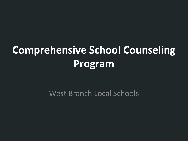## **Comprehensive School Counseling Program**

West Branch Local Schools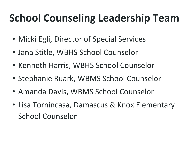## **School Counseling Leadership Team**

- Micki Egli, Director of Special Services
- Jana Stitle, WBHS School Counselor
- Kenneth Harris, WBHS School Counselor
- Stephanie Ruark, WBMS School Counselor
- Amanda Davis, WBMS School Counselor
- Lisa Tornincasa, Damascus & Knox Elementary School Counselor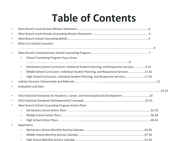## **Table of Contents**

| $\bullet$ |                                                                                                                    |  |
|-----------|--------------------------------------------------------------------------------------------------------------------|--|
| $\bullet$ |                                                                                                                    |  |
| $\bullet$ |                                                                                                                    |  |
| $\bullet$ | Roles of a School Counselor                                                                                        |  |
|           |                                                                                                                    |  |
| $\bullet$ |                                                                                                                    |  |
|           | <b>School Counseling Program Focus Areas</b>                                                                       |  |
|           |                                                                                                                    |  |
|           | Elementary School Curriculum, Individual Student Planning, and Responsive Services9-12<br>$\overline{\phantom{0}}$ |  |
|           | Middle School Curriculum, Individual Student Planning, and Responsive Services13-16                                |  |
|           | High School Curriculum, Individual Student Planning, and Responsive Services17-20                                  |  |
| $\bullet$ |                                                                                                                    |  |
| $\bullet$ | <b>Evaluation and Data</b>                                                                                         |  |
|           |                                                                                                                    |  |
| $\bullet$ | ASCA National Standards for Academic, Career, and Personal/Social Development24                                    |  |
| $\bullet$ |                                                                                                                    |  |
| $\bullet$ | West Branch School Counseling Program Action Plans                                                                 |  |
|           |                                                                                                                    |  |
|           |                                                                                                                    |  |
|           |                                                                                                                    |  |
| $\bullet$ | Appendices                                                                                                         |  |
|           |                                                                                                                    |  |
|           |                                                                                                                    |  |
|           |                                                                                                                    |  |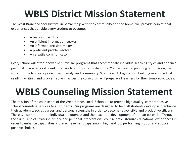## **WBLS District Mission Statement**

The West Branch School District, in partnership with the community and the home, will provide educational experiences that enable every student to become:

- A responsible citizen
- An efficient information-seeker
- An informed decision-maker
- A proficient problem-solver
- A versatile communicator

Every school will offer innovative curricular programs that accommodate individual learning styles and enhance personal character as students prepare to contribute to life in the 21st century. In pursuing our mission, we will continue to create pride in self, family, and community. West Branch High School building mission is that reading, writing, and problem solving across the curriculum will prepare all learners for their tomorrow, today.

## **WBLS Counseling Mission Statement**

The mission of the counselors of the West Branch Local Schools is to provide high quality, comprehensive school counseling services to all students. Our programs are designed to help all students develop and enhance their academic, social, career, and personal strengths in order to become responsible and productive citizens. There is a commitment to individual uniqueness and the maximum development of human potential. Through the skillful use of strategic, timely, and personal interventions, counselors customize educational experiences in order to enhance capabilities, close achievement gaps among high and low performing groups and support positive choices.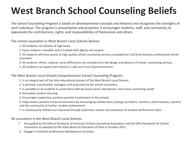## **West Branch School Counseling Beliefs**

The School Counseling Program is based on developmental concepts and theories and recognizes the strengths of each individual. The program is preventative and proactive; it encourages students, staff, and community to appreciate the contributions, rights, and responsibilities of themselves and others.

The school counselors in West Branch Local Schools believe:

- 1. All students can achieve at high levels.
- 2. Every student is valuable and is treated with dignity and respect.
- 3. All students will have access to high quality school counseling services, provided by a full-time licensed, professional school counselor.
- 4. All students' ethnic, cultural, racial differences are considered in the design and delivery of school counseling services.
- 5. All students can expect that school is a safe and nurturing environment.

The West Branch Local Schools Comprehensive School Counseling Program:

- 1. Is an integral part of the total educational process of the West Branch Local Schools.
- 2. Is planned, coordinated, managed, and evaluated by the school counselors.
- 3. Is available to all students to assist them with personal-social, educational, and career counseling needs.
- 4. Stimulates student learning.
- 5. Encourages supportive, positive parental involvement in the schools.

6. Helps build a positive school environment by encouraging collaboration among counselors, teachers, administrators, parents and the community to further student achievement.

7. Is continuously refined and improved through systematic review and evaluation of student performance data.

All counselors in the West Branch Local Schools:

- 1. Are guided by the Ethical Standards of American School Counseling Association and the Ohio Standards for School Counselors as adopted by the State Board of Education of Ohio in October 2015.
- 2. Engage in scholarly professional development activities.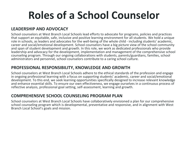## **Roles of a School Counselor**

### **LEADERSHIP AND ADVOCACY**

School counselors at West Branch Local Schools lead efforts to advocate for programs, policies and practices that support an equitable, safe, inclusive and positive learning environment for all students. We hold a unique role in schools, as leaders and advocates for the well-being of the whole child - including students' academic, career and social/emotional development. School counselors have a big picture view of the school community and span of student development and growth. In this role, we work as dedicated professionals who provide leadership and advocacy for the development, implementation and management of the comprehensive school counseling program. Through our ongoing collaborations with students, parents/guardians, families, school administrators and personnel, school counselors contribute to a caring school culture.

#### **PROFESSIONAL RESPONSIBILITY, KNOWLEDGE AND GROWTH**

School counselors at West Branch Local Schools adhere to the ethical standards of the profession and engage in ongoing professional learning with a focus on supporting students' academic, career and social/emotional development. To this end, we seek learning opportunities specifically designed to increase relevant knowledge and enhance essential skills. To ensure our own effectiveness, we engage ourselves in a continuous process of reflective analysis, professional goal setting, self-assessment, learning and growth.

#### **COMPREHENSIVE SCHOOL COUNSELING PROGRAM PLAN**

School counselors at West Branch Local Schools have collaboratively envisioned a plan for our comprehensive school counseling program which is developmental, preventative and responsive, and in alignment with West Branch Local School's goals and mission.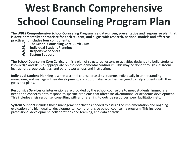# **West Branch Comprehensive School Counseling Program Plan**

**The WBLS Comprehensive School Counseling Program is a data-driven, preventative and responsive plan that is developmentally appropriate for each student, and aligns with research, national models and effective**  practices. It includes four components:<br>
1) The School Counseling Core<br>
2) Individual Student Planning<br>
3) Responsive Services<br>
4) System Support

- **1) The School Counseling Core Curriculum**
- **2) Individual Student Planning**
- **3) Responsive Services**
- **4) System Support**

**The School Counseling Core Curriculum** is a plan of structured lessons or activities designed to build students' knowledge and skills as appropriate on the developmental continuum. This may be done through classroom instruction, group activities, and parent workshops and instruction.

**Individual Student Planning** is when a school counselor assists students individually in understanding, monitoring and managing their development, and coordinates activities designed to help students with their goals and plans.

**Responsive Services** or interventions are provided by the school counselors to meet students' immediate needs and concerns or to respond to specific problems that affect social/emotional or academic development. This includes crisis response, consulting with and referring to outside resources, peer facilitation, etc.

**System Support** includes those management activities needed to assure the implementation and ongoing evaluation of a high quality, developmental, comprehensive school counseling program. This includes professional development, collaborations and teaming, and data analysis.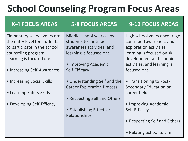## **School Counseling Program Focus Areas**

| <b>K-4 FOCUS AREAS</b>                                                                                                                        | <b>5-8 FOCUS AREAS</b>                                                                                    | <b>9-12 FOCUS AREAS</b>                                                                                                                       |
|-----------------------------------------------------------------------------------------------------------------------------------------------|-----------------------------------------------------------------------------------------------------------|-----------------------------------------------------------------------------------------------------------------------------------------------|
| Elementary school years are<br>the entry level for students<br>to participate in the school<br>counseling program.<br>Learning is focused on: | Middle school years allow<br>students to continue<br>awareness activities, and<br>learning is focused on: | High school years encourage<br>continued awareness and<br>exploration activities,<br>learning is focused on skill<br>development and planning |
| • Increasing Self-Awareness                                                                                                                   | • Improving Academic<br>Self-Efficacy                                                                     | activities, and learning is<br>focused on:                                                                                                    |
| • Increasing Social Skills                                                                                                                    | • Understanding Self and the<br><b>Career Exploration Process</b>                                         | • Transitioning to Post-<br><b>Secondary Education or</b>                                                                                     |
| • Learning Safety Skills                                                                                                                      | • Respecting Self and Others                                                                              | career field                                                                                                                                  |
| • Developing Self-Efficacy                                                                                                                    | • Establishing Effective<br>Relationships                                                                 | • Improving Academic<br>Self-Efficacy                                                                                                         |
|                                                                                                                                               |                                                                                                           | • Respecting Self and Others                                                                                                                  |
|                                                                                                                                               |                                                                                                           | • Relating School to Life                                                                                                                     |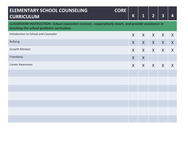| <b>ELEMENTARY SCHOOL COUNSELING</b><br><b>CURRICULUM</b> | <b>CORE</b>                                                                                       | $\mathsf K$  | $\overline{\mathbf{1}}$ | $\overline{2}$ | $\overline{\mathbf{3}}$ | 4       |
|----------------------------------------------------------|---------------------------------------------------------------------------------------------------|--------------|-------------------------|----------------|-------------------------|---------|
| teaching the school guidance curriculum.                 | CLASSROOM INSTRUCTION: School counselors instruct, cooperatively-teach, and provide assistance in |              |                         |                |                         |         |
| Introduction to School and Counselor                     |                                                                                                   | $\mathsf{X}$ | X                       | X              | X                       | X       |
| <b>Bullying</b>                                          |                                                                                                   | $\mathsf{X}$ | X                       | $\sf X$        | X                       | $\sf X$ |
| <b>Growth Mindset</b>                                    |                                                                                                   | $\mathsf{X}$ | $\sf X$                 | $\sf X$        | X                       | $\sf X$ |
| Friendship                                               |                                                                                                   | $\mathsf{X}$ | $\sf X$                 |                |                         |         |
| <b>Career Awareness</b>                                  |                                                                                                   | $\mathsf{X}$ | X                       | X              | X                       | X       |
|                                                          |                                                                                                   |              |                         |                |                         |         |
|                                                          |                                                                                                   |              |                         |                |                         |         |
|                                                          |                                                                                                   |              |                         |                |                         |         |
|                                                          |                                                                                                   |              |                         |                |                         |         |
|                                                          |                                                                                                   |              |                         |                |                         |         |
|                                                          |                                                                                                   |              |                         |                |                         |         |
|                                                          |                                                                                                   |              |                         |                |                         |         |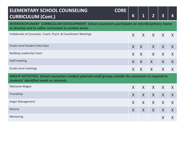| <b>CORE</b><br><b>ELEMENTARY SCHOOL COUNSELING</b><br><b>CURRICULUM (Cont.)</b>                                                                                    | K            | $\overline{\mathbf{1}}$ | $\overline{2}$ | 3            | 4            |  |  |  |
|--------------------------------------------------------------------------------------------------------------------------------------------------------------------|--------------|-------------------------|----------------|--------------|--------------|--|--|--|
| <b>INTERDISCIPLINARY CURRICULUM DEVELOPMENT: School counselors participate on interdisciplinary teams</b><br>to develop and to refine curriculum in content areas. |              |                         |                |              |              |  |  |  |
| Collaborate at Counselor, Coach, Psych, & Coordinator Meetings                                                                                                     | X            | $\mathsf{X}$            | $\mathsf{X}$   | $\mathsf{X}$ | $\mathsf{X}$ |  |  |  |
| Grade Level Student Data Days                                                                                                                                      | X            | X                       | $\sf X$        | $\mathsf{X}$ | $\mathsf{X}$ |  |  |  |
| <b>Building Leadership Team</b>                                                                                                                                    | $\mathsf{X}$ | $\sf X$                 | $\mathsf{X}$   | $\mathsf{X}$ | X            |  |  |  |
| <b>Staff meeting</b>                                                                                                                                               | $\mathsf{X}$ | $\mathsf{X}$            | $\mathsf{X}$   | $\mathsf{X}$ | X            |  |  |  |
| Grade Level meetings                                                                                                                                               | $\mathsf{X}$ | $\mathsf{X}$            | $\mathsf{X}$   | $\mathsf{X}$ | X            |  |  |  |
| <b>GROUP ACTIVITIES: School counselors conduct planned small groups outside the classroom to respond to</b><br>students' identified needs or interests.            |              |                         |                |              |              |  |  |  |
| Welcome Wagon                                                                                                                                                      | X            | $\mathsf{X}$            | $\mathsf{X}$   | X            | X            |  |  |  |
| Friendship                                                                                                                                                         | $\mathsf{X}$ | $\sf X$                 | X              | $\mathsf{X}$ | X            |  |  |  |
| Anger Management                                                                                                                                                   | X            | $\mathsf{X}$            | $\mathsf{X}$   | $\mathsf{X}$ | X            |  |  |  |
| <b>Divorce</b>                                                                                                                                                     | X            | $\mathsf{X}$            | $\mathsf{X}$   | X            | X            |  |  |  |
| Mentoring                                                                                                                                                          |              |                         |                | X            | X            |  |  |  |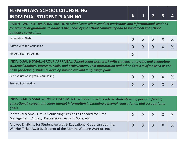## **ELEMENTARY SCHOOL COUNSELING INDIVIDUAL STUDENT PLANNING K 1 2 3 4**

**PARENT WORKSHOPS & INSTRUCTION:** *School counselors conduct workshops and informational sessions for parents or guardians to address the needs of the school community and to implement the school guidance curriculum.*

| <b>Orientation Night</b>  | X X X X X X         |  |  |
|---------------------------|---------------------|--|--|
| Coffee with the Counselor | $X$ $X$ $X$ $X$ $X$ |  |  |
| Kindergarten Screening    |                     |  |  |

**INDIVIDUAL & SMALL-GROUP APPRAISAL:** *School counselors work with students analyzing and evaluating students' abilities, interests, skills, and achievement. Test information and other data are often used as the basis for helping students develop immediate and long-range plans.*

| Self evaluation in group counseling | $X$ $X$ $X$ $X$ $X$ $X$ |  |  |
|-------------------------------------|-------------------------|--|--|
| Pre and Post testing                | X X X X X               |  |  |
|                                     |                         |  |  |

**INDIVIDUAL & SMALL-GROUP ASSESSMENT:** *School counselors advise students using personal/social, educational, career, and labor market information in planning personal, educational, and occupational goals.*

| Individual & Small Group Counseling Sessions as needed for Time<br>Management, Anxiety, Depression, Learning Style, etc.                        | $X$ $X$ $X$ $X$ $X$ |  |  |
|-------------------------------------------------------------------------------------------------------------------------------------------------|---------------------|--|--|
| Analyze Eligibility for Student Awards & Educational Opportunities (i.e.<br>Warrior Ticket Awards, Student of the Month, Winning Warrior, etc.) | $X$ $X$ $X$ $X$ $X$ |  |  |
|                                                                                                                                                 |                     |  |  |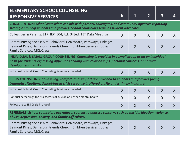| <b>ELEMENTARY SCHOOL COUNSELING</b><br><b>RESPONSIVE SERVICES</b>                                                                                                                                                               | $\mathsf K$  | $\overline{\mathbf{1}}$ | $\overline{2}$ | 3       | 4                |  |  |  |  |
|---------------------------------------------------------------------------------------------------------------------------------------------------------------------------------------------------------------------------------|--------------|-------------------------|----------------|---------|------------------|--|--|--|--|
| <b>CONSULTATION: School counselors consult with parents, colleagues, and community agencies regarding</b><br>strategies to help students and families. School counselors serve as student advocates.                            |              |                         |                |         |                  |  |  |  |  |
| Colleagues & Parents: ETR, IEP, 504, RtI, Gifted, TBT Data Meetings                                                                                                                                                             | $\mathsf{X}$ | $\sf X$                 | $\mathsf{X}$   | X       | X                |  |  |  |  |
| Community Agencies: Alta Behavioral Healthcare, Pathways, Linkages,<br>Belmont Pines, Damascus Friends Church, Children Services, Job &<br>Family Services, MCJJC, etc.                                                         | $\mathsf{X}$ | X                       | $\mathsf{X}$   | X       | X                |  |  |  |  |
| INDIVIDUAL & SMALL-GROUP COUNSELING: Counseling is provided in a small group or on an individual<br>basis for students expressing difficulties dealing with relationships, personal concerns, or normal<br>developmental tasks. |              |                         |                |         |                  |  |  |  |  |
| Individual & Small Group Counseling Sessions as needed                                                                                                                                                                          | $\sf X$      | $\mathsf{X}$            | $\mathsf{X}$   | X       | X                |  |  |  |  |
| CRISIS COUNSELING: Counseling, comfort, and support are provided to students and families facing<br>traumatic situations. School-based crisis response is offered onsite and is timely in nature.                               |              |                         |                |         |                  |  |  |  |  |
| Individual & Small Group Counseling Sessions as needed                                                                                                                                                                          | X            | $\mathsf{X}$            | $\mathsf{X}$   | $\sf X$ | X                |  |  |  |  |
| Conduct screenings for risk-factors of suicide and other mental health                                                                                                                                                          | X            | $\mathsf{X}$            | $\mathsf{X}$   | X       | X                |  |  |  |  |
| Follow the WBLS Crisis Protocol                                                                                                                                                                                                 | X            | X                       | X              | X       | $\boldsymbol{X}$ |  |  |  |  |
| REFERRALS: School counselors use referral sources to address concerns such as suicidal ideation, violence,<br>abuse, depression, anxiety, and family difficulties.                                                              |              |                         |                |         |                  |  |  |  |  |
| Community Agencies: Alta Behavioral Healthcare, Pathways, Linkages,<br>Belmont Pines, Damascus Friends Church, Children Services, Job &<br>Family Services, MCJJC, etc.                                                         | $\mathsf{X}$ | $\mathsf{X}$            | $\mathsf{X}$   | X       | X                |  |  |  |  |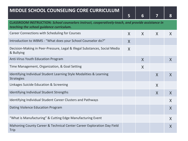## **MIDDLE SCHOOL COUNSELING CORE CURRICULUM**

|                                                                                                                                               | 5       | 6       | 7            | 8            |  |
|-----------------------------------------------------------------------------------------------------------------------------------------------|---------|---------|--------------|--------------|--|
| CLASSROOM INSTRUCTION: School counselors instruct, cooperatively-teach, and provide assistance in<br>teaching the school guidance curriculum. |         |         |              |              |  |
| Career Connections with Scheduling for Courses                                                                                                | $\sf X$ | $\sf X$ | $\mathsf{X}$ | $\sf X$      |  |
| Introduction to WBMS - "What does your School Counselor do?"                                                                                  | X       |         |              |              |  |
| Decision-Making in Peer-Pressure, Legal & Illegal Substances, Social Media<br>& Bullying                                                      | X       |         |              |              |  |
| Anti-Virus Youth Education Program                                                                                                            |         | X       |              | X            |  |
| Time Management, Organization, & Goal Setting                                                                                                 |         | X       |              |              |  |
| Identifying Individual Student Learning Style Modalities & Learning<br><b>Strategies</b>                                                      |         |         | X            | $\mathsf{X}$ |  |
| Linkages Suicide Education & Screening                                                                                                        |         |         | X            |              |  |
| Identifying Individual Student Strengths                                                                                                      |         |         | X            | X            |  |
| Identifying Individual Student Career Clusters and Pathways                                                                                   |         |         |              | X            |  |
| Dating Violence Education Program                                                                                                             |         |         |              | X            |  |
| "What is Manufacturing" & Cutting Edge Manufacturing Event                                                                                    |         |         |              | X            |  |
| Mahoning County Career & Technical Center Career Exploration Day Field<br><b>Trip</b>                                                         |         |         |              | X            |  |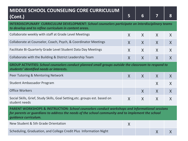| MIDDLE SCHOOL COUNSELING CORE CURRICULUM<br>(Cont.)                                                                                                                                                                                    | 5            | 6 | 7            | 8 |  |  |  |
|----------------------------------------------------------------------------------------------------------------------------------------------------------------------------------------------------------------------------------------|--------------|---|--------------|---|--|--|--|
| <b>INTERDISCIPLINARY CURRICULUM DEVELOPMENT: School counselors participate on interdisciplinary teams</b><br>to develop and to refine curriculum in content areas.                                                                     |              |   |              |   |  |  |  |
| Collaborate weekly with staff at Grade Level Meetings                                                                                                                                                                                  | $\mathsf{X}$ | X | X            | X |  |  |  |
| Collaborate at Counselor, Coach, Psych, & Coordinator Meetings                                                                                                                                                                         | X            | X | X            | X |  |  |  |
| Facilitate Bi-Quarterly Grade Level Student Data Day Meetings                                                                                                                                                                          | X            | X | X            | X |  |  |  |
| Collaborate with the Building & District Leadership Team                                                                                                                                                                               | $\mathsf{X}$ | X | $\mathsf{X}$ | X |  |  |  |
| <b>GROUP ACTIVITIES: School counselors conduct planned small groups outside the classroom to respond to</b><br>students' identified needs or interests.                                                                                |              |   |              |   |  |  |  |
| Peer Tutoring & Mentoring Network                                                                                                                                                                                                      | $\mathsf{X}$ | X | $\mathsf{X}$ | X |  |  |  |
| <b>Student Ambassador Program</b>                                                                                                                                                                                                      |              |   | X            | X |  |  |  |
| <b>Office Workers</b>                                                                                                                                                                                                                  |              | X | X            | X |  |  |  |
| Social Skills, Grief, Study Skills, Goal Setting, etc. groups est. based on<br>student needs                                                                                                                                           | X            | X | X            | X |  |  |  |
| <b>PARENT WORKSHOPS &amp; INSTRUCTION: School counselors conduct workshops and informational sessions</b><br>for parents or guardians to address the needs of the school community and to implement the school<br>guidance curriculum. |              |   |              |   |  |  |  |
| New Student & 5th Grade Orientation                                                                                                                                                                                                    | X            |   |              |   |  |  |  |
| Scheduling, Graduation, and College Credit Plus Information Night                                                                                                                                                                      |              |   | X            | X |  |  |  |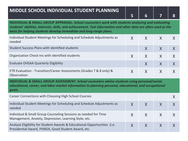### **MIDDLE SCHOOL INDIVIDUAL STUDENT PLANNING**

**INDIVIDUAL & SMALL-GROUP APPRAISAL:** *School counselors work with students analyzing and evaluating students' abilities, interests, skills, and achievement. Test information and other data are often used as the basis for helping students develop immediate and long-range plans.* Individual Student Meetings for Scheduling and Schedule Adjustments as needed  $X$   $X$   $X$   $X$ Student Success Plans with identified students X X X Organization Check-Ins with identified students  $X - X + X + X + X$ Evaluate OHSAA Quarterly Eligibility  $X = \{x, y\}$  $X$   $X$   $X$   $X$ 

ETR Evaluation - Transition/Career Assessments (Grades 7 & 8 only) & **Observation** 

**INDIVIDUAL & SMALL-GROUP ASSESSMENT:** *School counselors advise students using personal/social, educational, career, and labor market information in planning personal, educational, and occupational goals.*

| Career Connections with Choosing High School Courses                                                                            |  |  |
|---------------------------------------------------------------------------------------------------------------------------------|--|--|
| Individual Student Meetings for Scheduling and Schedule Adjustments as<br>needed                                                |  |  |
| Individual & Small Group Counseling Sessions as needed for Time<br>Management, Anxiety, Depression, Learning Style, etc.        |  |  |
| Analyze Eligibility for Student Awards & Educational Opportunities (i.e.<br>Presidential Award, PANDA, Good Student Award, etc. |  |  |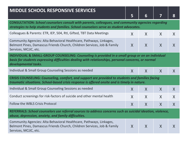| <b>MIDDLE SCHOOL RESPONSIVE SERVICES</b>                                                                                                                                                                                                   | 5 | 6            | 7            | 8 |  |  |  |
|--------------------------------------------------------------------------------------------------------------------------------------------------------------------------------------------------------------------------------------------|---|--------------|--------------|---|--|--|--|
| <b>CONSULTATION: School counselors consult with parents, colleagues, and community agencies regarding</b><br>strategies to help students and families. School counselors serve as student advocates.                                       |   |              |              |   |  |  |  |
| Colleagues & Parents: ETR, IEP, 504, RtI, Gifted, TBT Data Meetings                                                                                                                                                                        | X | $\mathsf{X}$ | $\sf X$      | X |  |  |  |
| Community Agencies: Alta Behavioral Healthcare, Pathways, Linkages,<br>Belmont Pines, Damascus Friends Church, Children Services, Job & Family<br>Services, MCJJC, etc.                                                                    | X | X            | $\mathsf{X}$ | X |  |  |  |
| <b>INDIVIDUAL &amp; SMALL-GROUP COUNSELING: Counseling is provided in a small group or on an individual</b><br>basis for students expressing difficulties dealing with relationships, personal concerns, or normal<br>developmental tasks. |   |              |              |   |  |  |  |
| Individual & Small Group Counseling Sessions as needed                                                                                                                                                                                     | X | X            | $\mathsf{X}$ | X |  |  |  |
| CRISIS COUNSELING: Counseling, comfort, and support are provided to students and families facing<br>traumatic situations. School-based crisis response is offered onsite and is timely in nature.                                          |   |              |              |   |  |  |  |
| Individual & Small Group Counseling Sessions as needed                                                                                                                                                                                     | X | $\sf X$      | X            | X |  |  |  |
| Conduct screenings for risk-factors of suicide and other mental health                                                                                                                                                                     | X | X            | $\sf X$      | X |  |  |  |
| <b>Follow the WBLS Crisis Protocol</b>                                                                                                                                                                                                     | X | X            | $\sf X$      | X |  |  |  |
| REFERRALS: School counselors use referral sources to address concerns such as suicidal ideation, violence,<br>abuse, depression, anxiety, and family difficulties.                                                                         |   |              |              |   |  |  |  |
| Community Agencies: Alta Behavioral Healthcare, Pathways, Linkages,<br>Belmont Pines, Damascus Friends Church, Children Services, Job & Family<br>Services, MCJJC, etc.                                                                    | X | X            | $\mathsf{X}$ | X |  |  |  |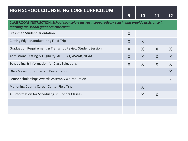| <b>HIGH SCHOOL COUNSELING CORE CURRICULUM</b>                                                                                                 | 9            | 10               | 11      | 12                        |  |
|-----------------------------------------------------------------------------------------------------------------------------------------------|--------------|------------------|---------|---------------------------|--|
| CLASSROOM INSTRUCTION: School counselors instruct, cooperatively-teach, and provide assistance in<br>teaching the school guidance curriculum. |              |                  |         |                           |  |
| <b>Freshmen Student Orientation</b>                                                                                                           | $\mathsf{X}$ |                  |         |                           |  |
| <b>Cutting Edge Manufacturing Field Trip</b>                                                                                                  | $\mathsf{X}$ | $\boldsymbol{X}$ |         |                           |  |
| Graduation Requirement & Transcript Review Student Session                                                                                    | X            | X                | $\sf X$ | X                         |  |
| Admissions Testing & Eligibility: ACT, SAT, ASVAB, NCAA                                                                                       | X            | X                | X       | $\mathsf{X}$              |  |
| Scheduling & Information for Class Selections                                                                                                 | $\mathsf{X}$ | X                | $\sf X$ | X                         |  |
| <b>Ohio Means Jobs Program Presentations</b>                                                                                                  |              |                  |         | X                         |  |
| Senior Scholarships Awards Assembly & Graduation                                                                                              |              |                  |         | $\boldsymbol{\mathsf{X}}$ |  |
| <b>Mahoning County Career Center Field Trip</b>                                                                                               |              | X                |         |                           |  |
| AP Information for Scheduling in Honors Classes                                                                                               |              | X                | X       |                           |  |
|                                                                                                                                               |              |                  |         |                           |  |
|                                                                                                                                               |              |                  |         |                           |  |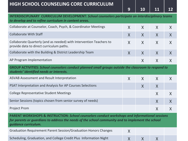### **HIGH SCHOOL COUNSELING CORE CURRICULUM**

**9 10 11 12**

| INTERDISCIPLINARY CURRICULUM DEVELOPMENT: School counselors participate on interdisciplinary teams<br>to develop and to refine curriculum in content areas.                                                                            |              |              |   |   |
|----------------------------------------------------------------------------------------------------------------------------------------------------------------------------------------------------------------------------------------|--------------|--------------|---|---|
| Collaborate at Counselor, Coach, Psych, & Coordinator Meetings                                                                                                                                                                         | X            | $\mathsf{X}$ | X | X |
| <b>Collaborate With Staff</b>                                                                                                                                                                                                          | X            | $\mathsf{X}$ | X | X |
| Collaborate Quarterly (and as needed) with Intervention Teachers to<br>provide data to direct curriculum paths.                                                                                                                        | X            | $\sf X$      | X | X |
| Collaborate with the Building & District Leadership Team                                                                                                                                                                               | X            | X            | X | X |
| AP Program Implementation                                                                                                                                                                                                              |              | X            | X | X |
| GROUP ACTIVITIES: School counselors conduct planned small groups outside the classroom to respond to<br>students' identified needs or interests.                                                                                       |              |              |   |   |
| ASVAB Assessment and Result Interpretation                                                                                                                                                                                             | X            | X            | X | X |
| PSAT Interpretation and Analysis for AP Courses Selections                                                                                                                                                                             |              | X            | X |   |
| <b>College Representative Student Meetings</b>                                                                                                                                                                                         |              |              | X | X |
| Senior Sessions (topics chosen from senior survey of needs)                                                                                                                                                                            |              |              | X | X |
| <b>Project Prom</b>                                                                                                                                                                                                                    |              |              | X | X |
| <b>PARENT WORKSHOPS &amp; INSTRUCTION: School counselors conduct workshops and informational sessions</b><br>for parents or guardians to address the needs of the school community and to implement the school<br>guidance curriculum. |              |              |   |   |
| Graduation Requirement Parent Session/Graduation Honors Changes                                                                                                                                                                        | X            |              |   |   |
| Scheduling, Graduation, and College Credit Plus Information Night                                                                                                                                                                      | $\mathsf{X}$ | X            | X |   |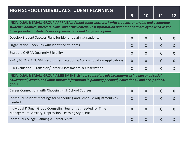| HIGH SCHOOL INDIVIDUAL STUDENT PLANNING                                                                                                                                                                                                                                                   |              |              |                  |              |
|-------------------------------------------------------------------------------------------------------------------------------------------------------------------------------------------------------------------------------------------------------------------------------------------|--------------|--------------|------------------|--------------|
|                                                                                                                                                                                                                                                                                           | 9            | <b>10</b>    | 11               | 12           |
| INDIVIDUAL & SMALL-GROUP APPRAISAL: School counselors work with students analyzing and evaluating<br>students' abilities, interests, skills, and achievement. Test information and other data are often used as the<br>basis for helping students develop immediate and long-range plans. |              |              |                  |              |
| Develop Student Success Plans for identified at-risk students                                                                                                                                                                                                                             | X            | X            | $\mathsf{X}$     | X            |
| Organization Check-Ins with identified students                                                                                                                                                                                                                                           | X            | $\sf X$      | $\sf X$          | X            |
| <b>Evaluate OHSAA Quarterly Eligibility</b>                                                                                                                                                                                                                                               | X            | $\mathsf{X}$ | X                | X            |
| PSAT, ASVAB, ACT, SAT Result Interpretation & Accommodation Applications                                                                                                                                                                                                                  | $\mathsf{X}$ | $\mathsf{X}$ | $\mathsf{X}$     | $\mathsf{X}$ |
| ETR Evaluation - Transition/Career Assessments & Observation                                                                                                                                                                                                                              | X            | X            | X                | X            |
| INDIVIDUAL & SMALL-GROUP ASSESSMENT: School counselors advise students using personal/social,<br>educational, career, and labor market information in planning personal, educational, and occupational<br>goals.                                                                          |              |              |                  |              |
| Career Connections with Choosing High School Courses                                                                                                                                                                                                                                      | X            | X            | X                | X            |
| Individual Student Meetings for Scheduling and Schedule Adjustments as<br>needed                                                                                                                                                                                                          | X            | $\mathsf{X}$ | $\boldsymbol{X}$ | $\mathsf{X}$ |
| Individual & Small Group Counseling Sessions as needed for Time<br>Management, Anxiety, Depression, Learning Style, etc.                                                                                                                                                                  | X            | X            | X                | $\mathsf{X}$ |
| <b>Individual College Planning &amp; Career Visits</b>                                                                                                                                                                                                                                    | X            | X            | $\mathsf{X}$     | X            |

<u> 1989 - Johann Barn, Amerikaansk politiker (</u>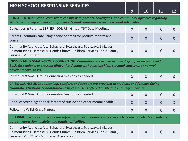| <b>CONSULTATION: School counselors consult with parents, colleagues, and community agencies regarding</b><br>strategies to help students and families. School counselors serve as student advocates.                            |   |              |              |         |
|---------------------------------------------------------------------------------------------------------------------------------------------------------------------------------------------------------------------------------|---|--------------|--------------|---------|
| Colleagues & Parents: ETR, IEP, 504, RTI, Gifted, TBT Data Meetings                                                                                                                                                             | X | X            | $\sf X$      | $\sf X$ |
| Parents - communicate using phone or email for positive reports and<br>concerns                                                                                                                                                 | X | $\sf X$      | X            | X       |
| Community Agencies: Alta Behavioral Healthcare, Pathways, Linkages,<br>Belmont Pines, Damascus Friends Church, Children Services, Job & Family<br>Services, MCJJC, etc.                                                         | X | X            | X            | $\sf X$ |
| INDIVIDUAL & SMALL-GROUP COUNSELING: Counseling is provided in a small group or on an individual<br>basis for students expressing difficulties dealing with relationships, personal concerns, or normal<br>developmental tasks. |   |              |              |         |
| Individual & Small Group Counseling Sessions as needed                                                                                                                                                                          | X | X            | $\sf X$      | $\sf X$ |
| CRISIS COUNSELING: Counseling, comfort, and support are provided to students and families facing<br>traumatic situations. School-based crisis response is offered onsite and is timely in nature.                               |   |              |              |         |
| Individual & Small Group Counseling Sessions as needed                                                                                                                                                                          | X | X            | X            | X       |
| Conduct screenings for risk-factors of suicide and other mental health                                                                                                                                                          | X | $\mathsf{X}$ | $\mathsf{X}$ | $\sf X$ |
| Follow the WBLS Crisis Protocol                                                                                                                                                                                                 | X | X            | X            | X       |
| REFERRALS: School counselors use referral sources to address concerns such as suicidal ideation, violence,<br>abuse, depression, anxiety, and family difficulties.                                                              |   |              |              |         |
| Community Agencies: Alta Behavioral Healthcare, Pathways, Linkages,<br>Belmont Pines, Damascus Friends Church, Children Services, Job & Family<br>Services, MCJJC, WB Ministerial Association                                   | X | X            | $\sf X$      | $\sf X$ |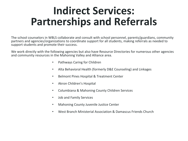## **Indirect Services: Partnerships and Referrals**

The school counselors in WBLS collaborate and consult with school personnel, parents/guardians, community partners and agencies/organizations to coordinate support for all students, making referrals as needed to support students and promote their success.

We work directly with the following agencies but also have Resource Directories for numerous other agencies and community resources in the Mahoning Valley and Alliance area.

- Pathways Caring for Children
- Alta Behavioral Health (formerly D&E Counseling) and Linkages
- Belmont Pines Hospital & Treatment Center
- Akron Children's Hospital
- Columbiana & Mahoning County Children Services
- Job and Family Services
- Mahoning County Juvenile Justice Center
- West Branch Ministerial Association & Damascus Friends Church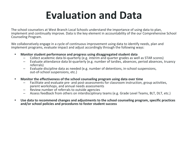## **Evaluation and Data**

The school counselors at West Branch Local Schools understand the importance of using data to plan, implement and continually improve. Data is the key element in accountability of the our Comprehensive School Counseling Program.

We collaboratively engage in a cycle of continuous improvement using data to identify needs, plan and implement programs, evaluate impact and adjust accordingly through the following ways:

- **• Monitor student performance and progress using disaggregated student data**
	- Collect academic data bi-quarterly (e.g. interim and quarter grades as well as STAR scores)
	- Evaluate attendance data bi-quarterly (e.g. number of tardies, absences, period absences, truancy referrals)
	- Evaluate discipline data as needed (e.g. number of detentions, in-school suspensions, out-of-school suspensions, etc.)
- **• Monitor the effectiveness of the school counseling program using data over time**
	- Facilitate and evaluate pre- and post-assessments for classroom instruction, group activities, parent workshops, and annual needs assessments
	- Review number of referrals to outside agencies
	- Assess feedback from others on interdisciplinary teams (e.g. Grade Level Teams, BLT, DLT, etc.)
- **• Use data to recommend changes and adjustments to the school counseling program, specific practices and/or school policies and procedures to foster student success**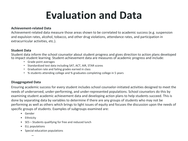## **Evaluation and Data**

#### **Achievement-related Data**

Achievement-related data measure those areas shown to be correlated to academic success (e.g. suspension and expulsion rates, alcohol, tobacco, and other drug violations, attendance rates, and participation in extracurricular activities, etc.).

#### **Student Data**

Student data inform the school counselor about student progress and gives direction to action plans developed to impact student learning. Student-achievement data are measures of academic progress and include:

- Grade point averages
- Standardized test data including SAT, ACT, AIR, STAR scores
- Graduation rate and failing grades earned in class
- % students attending college and % graduates completing college in 5 years

#### **Disaggregated Data**

Ensuring academic success for every student includes school counselor-initiated activities designed to meet the needs of underserved, under-performing, and under-represented populations. School counselors do this by examining student academic achievement data and developing action plans to help students succeed. This is done by separating data by variables to determine if there are any groups of students who may not be performing as well as others which brings to light issues of equity and focuses the discussion upon the needs of specific groups of students. Examples of subgroups examined are:

- Gender
- Ethnicity
- SES Students qualifying for free and reduced lunch
- ELL populations
- Special education populations
	- –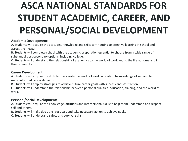## **ASCA NATIONAL STANDARDS FOR STUDENT ACADEMIC, CAREER, AND PERSONAL/SOCIAL DEVELOPMENT**

#### **Academic Development:**

A. Students will acquire the attitudes, knowledge and skills contributing to effective learning in school and across the lifespan.

B. Students will complete school with the academic preparation essential to choose from a wide range of substantial post-secondary options, including college.

C. Students will understand the relationship of academics to the world of work and to the life at home and in the community.

#### **Career Development:**

A. Students will acquire the skills to investigate the world of work in relation to knowledge of self and to make informed career decisions.

B. Students will employ strategies to achieve future career goals with success and satisfaction.

C. Students will understand the relationship between personal qualities, education, training, and the world of work.

#### **Personal/Social Development:**

A. Students will acquire the knowledge, attitudes and interpersonal skills to help them understand and respect self and others.

B. Students will make decisions, set goals and take necessary action to achieve goals.

C. Students will understand safety and survival skills.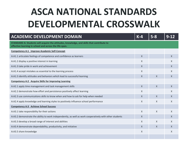## **ASCA NATIONAL STANDARDS DEVELOPMENTAL CROSSWALK**

| <b>ACADEMIC DEVELOPMENT DOMAIN</b>                                                                                                                  | $K-4$        | $5 - 8$      | $9 - 12$ |
|-----------------------------------------------------------------------------------------------------------------------------------------------------|--------------|--------------|----------|
| STANDARD A: Students will acquire the attitudes, knowledge, and skills that contribute to<br>effective learning in school and across the life-span. |              |              |          |
| <b>Competency A:1 Improve Academic Self-Concept</b>                                                                                                 |              |              |          |
| A:A1.1 articulate feelings of competence and confidence as learners                                                                                 | X            |              | X        |
| A:A1.2 display a positive interest in learning                                                                                                      | $\times$     |              | X        |
| A:A1.3 take pride in work and achievement                                                                                                           | $\chi$       |              | X        |
| A:A1.4 accept mistakes as essential to the learning process                                                                                         | $\times$     |              | X        |
| A:A1.5 identify attitudes and behaviors which lead to successful learning                                                                           | $\times$     | $\mathsf{X}$ | X        |
| <b>Competency A:2 Acquire Skills for Improving Learning</b>                                                                                         |              |              |          |
| A:A2.1 apply time management and task management skills                                                                                             | $\mathsf{X}$ | $\mathsf{X}$ | $\times$ |
| A:A2.2 demonstrate how effort and persistence positively affect learning                                                                            | X            |              | X        |
| A:A2.3 use communications skills to know when and how to ask for help when needed                                                                   | $\chi$       | $\times$     | X        |
| A:A2.4 apply knowledge and learning styles to positively influence school performance                                                               | $\mathsf{X}$ | X            | X        |
| <b>Competency A:3 Achieve School Success</b>                                                                                                        |              |              |          |
| A:A3.1 take responsibility for their actions                                                                                                        | $\times$     | X            | X        |
| A:A3.2 demonstrate the ability to work independently, as well as work cooperatively with other students                                             | $\chi$       |              | X        |
| A:A3.3 develop a broad range of interest and abilities                                                                                              | $\times$     | $\mathsf{X}$ | X        |
| A:A3.4 demonstrate dependability, productivity, and initiative                                                                                      | $\chi$       | $\mathsf{X}$ | X        |
| A:A3.5 share knowledge                                                                                                                              | X            |              | X        |
|                                                                                                                                                     |              |              |          |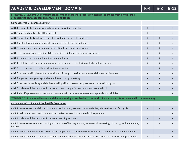| <b>ACADEMIC DEVELOPMENT DOMAIN</b>                                                                                                                                       | $K-4$ | $5 - 8$ | $9 - 12$ |
|--------------------------------------------------------------------------------------------------------------------------------------------------------------------------|-------|---------|----------|
| STANDARD B: Students will complete school with the academic preparation essential to choose from a wide range<br>of substantial postsecondary options, including college |       |         |          |
| <b>Competency B:1 Improve Learning</b>                                                                                                                                   |       |         |          |
| A:B1.1 demonstrate the motivation to achieve individual potential                                                                                                        | X     |         | X        |
| A:B1.2 learn and apply critical thinking skills                                                                                                                          | X     |         | X        |
| A:B1.3 apply the study skills necessary for academic success at each level                                                                                               | X     | X       | Χ        |
| A:B1.4 seek information and support from faculty, staff, family and peers                                                                                                | X     | X       | Χ        |
| A:B1.5 organize and apply academic information from a variety of sources                                                                                                 | X     | X       | X        |
| A:B1.6 use knowledge of learning styles to positively influence school performance                                                                                       | X     | X       | X        |
| A:B1.7 become a self-directed and independent learner                                                                                                                    | X     | X       | X        |
| A:B2.1 establish challenging academic goals in elementary, middle/junior high, and high school                                                                           | X     | X       | X        |
| A:B2.2 use assessment results in educational planning                                                                                                                    |       | X       | Χ        |
| A:B2.3 develop and implement an annual plan of study to maximize academic ability and achievement                                                                        | X     | X       | X        |
| A:B2.4 apply knowledge of aptitudes and interests to goal setting                                                                                                        | X     | X       | X        |
| A:B2.5 use problem-solving and decision-making skills to assess progress toward educational goals                                                                        | X     | X       | X        |
| A:B2.6 understand the relationship between classroom performance and success in school                                                                                   | X     | X       | X        |
| A:B2.7 identify post-secondary options consistent with interests, achievement, aptitude, and abilities                                                                   |       |         | X        |
| STANDARD C: Students will understand the relationship of academics to the world of work, and to life at home and in the community.                                       |       |         |          |
| Competency C:1 Relate School to Life Experience                                                                                                                          |       |         |          |
| A:C1.1 demonstrate the ability to balance school, studies, extracurricular activities, leisure time, and family life                                                     | X     | X       | X        |
| A:C1.2 seek co-curricular and community experiences to enhance the school experience                                                                                     |       |         | X        |
| A:C1.3 understand the relationship between learning and work                                                                                                             | X     | X       | X        |
| A:C1.4 demonstrate an understanding of the value of lifelong learning as essential to seeking, obtaining, and maintaining<br>life goals                                  | X     | X       | X        |
| A:C1.5 understand that school success is the preparation to make the transition from student to community member                                                         |       |         | X        |
| A:C1.6 understand how school success and academic achievement enhance future career and vocational opportunities                                                         | X     | X       | X        |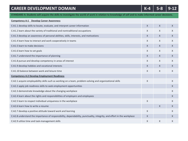## **CAREER DEVELOPMENT DOMAIN K-4 5-8 9-12 STANDARD A: Students will acquire the skills to investigate the world of work in relation to knowledge of self and to make informed career decisions.**

| <b>Competency A:1 Develop Career Awareness</b>                                                                         |              |              |   |
|------------------------------------------------------------------------------------------------------------------------|--------------|--------------|---|
| C:A1.1 develop skills to locate, evaluate, and interpret career information                                            | $\chi$       | $\chi$       | X |
| C:A1.2 learn about the variety of traditional and nontraditional occupations                                           | $\times$     | $\times$     | X |
| C:A1.3 develop an awareness of personal abilities, skills, interests, and motivations                                  | $\chi$       | $\chi$       | X |
| C:A1.4 learn how to interact and work cooperatively in teams                                                           | X            | X            | X |
| C:A1.5 learn to make decisions                                                                                         | $\chi$       | $\mathsf{X}$ | X |
| C:A1.6 learn how to set goals                                                                                          | $\chi$       | $\chi$       | X |
| C:A1.7 understand the importance of planning                                                                           | $\chi$       | $\chi$       | X |
| C:A1.8 pursue and develop competency in areas of interest                                                              | $\mathsf{X}$ | $\times$     | X |
| C:A1.9 develop hobbies and vocational interests                                                                        | X            | X            | X |
| C:A1.10 balance between work and leisure time                                                                          | $\chi$       | $\chi$       | X |
| <b>Competency A:2 Develop Employment Readiness</b>                                                                     |              |              |   |
| C:A2.1 acquire employability skills such as working on a team, problem-solving and organizational skills               | $\times$     |              | X |
| C:A2.2 apply job readiness skills to seek employment opportunities                                                     |              |              | X |
| C:A2.3 demonstrate knowledge about the changing workplace                                                              |              |              | X |
| C:A2.4 learn about the rights and responsibilities of employers and employees                                          |              |              | X |
| C:A2.5 learn to respect individual uniqueness in the workplace                                                         | $\chi$       |              | X |
| C:A2.6 learn how to write a resume                                                                                     |              | $\times$     | X |
| C:A2.7 develop a positive attitude toward work and learning                                                            | $\chi$       |              | X |
| C:A2.8 understand the importance of responsibility, dependability, punctuality, integrity, and effort in the workplace | X            |              | X |
| C:A2.9 utilize time and task-management skills                                                                         | $\chi$       | X            | X |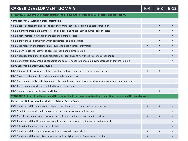| <b>CAREER DEVELOPMENT DOMAIN</b>                                                                                              | $K-4$       |          | $9 - 12$     |
|-------------------------------------------------------------------------------------------------------------------------------|-------------|----------|--------------|
| STANDARD B: Students will employ strategies to achieve future career goals with success and satisfaction.                     |             |          |              |
| <b>Competency B:1 Acquire Career Information</b>                                                                              |             |          |              |
| C:B1.1 apply decision making skills to career planning, course selection, and career transition                               |             | $\times$ | $\mathsf{X}$ |
| C:B1.2 identify personal skills, interests, and abilities and relate them to current career choice                            |             | X        | X            |
| C:B1.3 demonstrate knowledge of the career planning process                                                                   |             |          | X            |
| C:B1.4 know the various ways in which occupations can be classified                                                           |             | Χ        | X            |
| C:B1.5 use research and information resources to obtain career information                                                    | X           | X        | $\chi$       |
| C:B1.6 learn to use the internet to access career planning information                                                        |             | X        | X            |
| C:B1.7 describe traditional and non-traditional occupations and how these relate to career choice                             |             |          | X            |
| C:B1.8 understand how changing economic and societal needs influence employment trends and future training.                   |             |          | X            |
| <b>Competency B:2 Identify Career Goals</b>                                                                                   |             |          |              |
| C:B2.1 demonstrate awareness of the education and training needed to achieve career goals                                     | Χ           | X        | X            |
| C:B2.2 assess and modify their educational plan to support career                                                             |             |          | X            |
| C:B2.3 use employability and job readiness skills in internship, mentoring, shadowing, and/or other work experience.          |             |          | X            |
| C:B2.4 select course work that is related to career interests                                                                 |             |          | X            |
| C:B2.5 maintain a career planning portfolio                                                                                   |             | X        | $\mathsf{X}$ |
| STANDARD C: Students will understand the relationship between personal qualities, education, training, and the world of work. |             |          |              |
| <b>Competency B:3 Acquire Knowledge to Achieve Career Goals</b>                                                               |             |          |              |
| C:C1.1 understand the relationship between educational achievement and career success                                         | $\mathsf X$ | Χ        | X            |
| C:C1.2 explain how work can help to achieve personal success and satisfaction                                                 |             |          | X            |
| C:C1.3 identify personal preferences and interests which influence career choice and success                                  | X           | X        | X            |
| C:C1.4 understand that the changing workplace requires lifelong learning and acquiring new skills                             |             |          | X            |
| C:C1.5 describe the effect of work on lifestyle                                                                               |             |          | X            |
| C:C1.6 understand the importance of equity and access in career choice                                                        | X           | X        | X            |
| C:C1.7 understand that work is an important and satisfying means of personal expression                                       | X           |          | X            |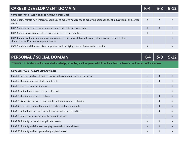| <b>CAREER DEVELOPMENT DOMAIN</b>                                                                                                                        | $K-4$ |   |   |
|---------------------------------------------------------------------------------------------------------------------------------------------------------|-------|---|---|
| <b>Apply Skills to Achieve Career Goal</b><br><b>Competency B:4</b>                                                                                     |       |   |   |
| C:C2.1 demonstrate how interests, abilities and achievement relate to achieving personal, social, educational, and career<br>goals                      | X     | X | X |
| C:C2.2 learn how to use conflict management skills with peers and adults                                                                                | X     | X | X |
| C:C2.3 learn to work cooperatively with others as a team member                                                                                         | X     |   | X |
| C:C2.4 apply academic and employment readiness skills in work-based learning situations such as internships,<br>shadowing, and/or mentoring experiences |       |   |   |
| C:C1.7 understand that work is an important and satisfying means of personal expression                                                                 | Χ     |   |   |

### **PERSONAL / SOCIAL DOMAIN K-4 6 1 K-4 5-8 9-12**

**STANDARD A: Students will acquire the knowledge, attitudes, and interpersonal skills to help them understand and respect self and others.**

| <b>Competency A:1 Acquire Self Knowledge</b>                                 |   |              |              |
|------------------------------------------------------------------------------|---|--------------|--------------|
| PS:A1.1 develop positive attitudes toward self as a unique and worthy person | X | $\mathsf{X}$ | X            |
| PS:A1.2 identify values, attitudes and beliefs                               | X | $\chi$       | X            |
| PS:A1.3 learn the goal-setting process                                       | X |              | X            |
| PS:A1.4 understand change is a part of growth                                | X |              | X            |
| PS:A1.5 identify and express feelings                                        | X | $\times$     | X            |
| PS:A1.6 distinguish between appropriate and inappropriate behavior           | X | $\chi$       | X            |
| PS:A1.7 recognize personal boundaries, rights, and privacy needs             | X | $\times$     | X            |
| PS:A1.8 understand the need for self-control and how to practice it          | X | $\chi$       | X            |
| PS:A1.9 demonstrate cooperative behavior in groups                           | X |              | X            |
| PS:A1.10 identify personal strengths and assets                              | X | $\chi$       | X            |
| PS:A1.11 identify and discuss changing personal and social roles             | X | $\chi$       | $\mathsf{X}$ |
| PS:A1.12 identify and recognize changing family roles                        | X | $\times$     | X            |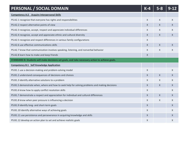| PERSONAL / SOCIAL DOMAIN                                                                        | $K-4$            |              |   |
|-------------------------------------------------------------------------------------------------|------------------|--------------|---|
| <b>Competency A:2 Acquire Interpersonal Skills</b>                                              |                  |              |   |
| PS:A2.1 recognize that everyone has rights and responsibilities                                 | $\mathsf{X}$     | X            | X |
| PS:A2.2 respect alternative points of view                                                      | X                | X            | X |
| PS:A2.3 recognize, accept, respect and appreciate individual differences                        | $\times$         | $\chi$       | X |
| PS:A2.4 recognize, accept and appreciate ethnic and cultural diversity                          | X                | X            | X |
| PS:A2.5 recognize and respect differences in various family configurations                      | X                |              |   |
| PS:A2.6 use effective communications skills                                                     | X                | $\mathsf{X}$ | X |
| PS:A2.7 know that communication involves speaking, listening, and nonverbal behavior            | $\times$         | X            | X |
| PS:A2.8 learn how to make and keep friends                                                      | $\boldsymbol{X}$ |              |   |
| STANDARD B: Students will make decisions set goals, and take necessary action to achieve goals. |                  |              |   |
| <b>Competency B:1 Self Knowledge Application</b>                                                |                  |              |   |
| PS:B1.1 use a decision-making and problem-solving model                                         | $\mathsf{X}$     |              | X |
| PS:B1.2 understand consequences of decisions and choices                                        | X                | X            | X |
| PS:B1.3 identify alternative solutions to a problem                                             | $\times$         | X            | X |
| PS:B1.5 demonstrate when, where and how to seek help for solving problems and making decisions  | $\mathsf{X}$     | $\mathsf{X}$ | X |
| PS:B1.6 know how to apply conflict resolution skills                                            | X                |              | X |
| PS:B1.7 demonstrate a respect and appreciation for individual and cultural differences          | X                | $\mathsf{X}$ | X |
| PS:B1.8 know when peer pressure is influencing a decision                                       | X                | X            | X |
| PS:B1.9 identify long- and short-term goals                                                     | X                |              | X |
| PS:B1.10 identify alternative ways of achieving goals                                           | X                |              | X |
| PS:B1.11 use persistence and perseverance in acquiring knowledge and skills                     | X                |              | X |
| PS:B1.12 develop an action plan to set and achieve realistic goals                              | X                |              | X |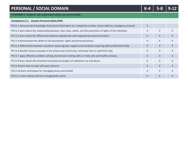| PERSONAL / SOCIAL DOMAIN                                                                                         |              |              |   |
|------------------------------------------------------------------------------------------------------------------|--------------|--------------|---|
| STANDARD C: Students will understand safety and survival skills.                                                 |              |              |   |
| <b>Acquire Personal Safety Skills</b><br><b>Competency C:1</b>                                                   |              |              |   |
| PS:C1.1 demonstrate knowledge of personal information (i.e. telephone number, home address, emergency contact)   | $\chi$       |              |   |
| PS:C1.2 learn about the relationship between rules, laws, safety, and the protection of rights of the individual | $\chi$       | X            | X |
| PS:C1.3 learn about the differences between appropriate and inappropriate physical contact                       | $\times$     | $\times$     | X |
| PS:C1.4 demonstrate the ability to set boundaries, rights and personal privacy                                   | X            | X            | X |
| PS:C1.5 differentiate between situations requiring peer support and situations requiring adult professional help | X            | $\mathsf{X}$ | X |
| PS:C1.6 identify resource people in the school and community, and know how to seek their help                    | $\times$     | $\times$     | X |
| PS:C1.7 apply effective problem-solving and decision-making skills to make safe and healthy choices              | $\times$     | $\times$     | X |
| PS:C1.8 learn about the emotional and physical dangers of substance use and abuse                                | $\mathsf{X}$ | X            | X |
| PS:C1.9 learn how to cope with peer pressure                                                                     | $\times$     | $\chi$       | X |
| PS:C1.10 learn techniques for managing stress and conflict                                                       | $\mathsf{X}$ | $\mathsf{X}$ | X |
| PS:C1.11 learn coping skills for managing life events                                                            | $\chi$       | $\mathsf{X}$ | X |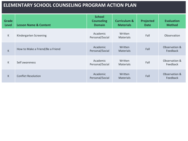| <b>Grade</b><br><b>Level</b> | <b>Lesson Name &amp; Content</b> | <b>School</b><br><b>Counseling</b><br><b>Domain</b> | <b>Curriculum &amp;</b><br><b>Materials</b> | Projected<br><b>Date</b> | <b>Evaluation</b><br><b>Method</b> |
|------------------------------|----------------------------------|-----------------------------------------------------|---------------------------------------------|--------------------------|------------------------------------|
| K                            | Kindergarten Screening           | Academic<br>Personal/Social                         | Written<br><b>Materials</b>                 | Fall                     | Observation                        |
| K                            | How to Make a Friend/Be a Friend | Academic<br>Personal/Social                         | Written<br><b>Materials</b>                 | Fall                     | Observation &<br>Feedback          |
| K.                           | Self awareness                   | Academic<br>Personal/Social                         | Written<br><b>Materials</b>                 | Fall                     | Observation &<br>Feedback          |
| K                            | <b>Conflict Resolution</b>       | Academic<br>Personal/Social                         | Written<br><b>Materials</b>                 | Fall                     | Observation &<br>Feedback          |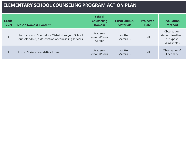| <b>Grade</b><br><b>Level</b> | <b>Lesson Name &amp; Content</b>                                                                           | <b>School</b><br><b>Counseling</b><br><b>Domain</b> | <b>Curriculum &amp;</b><br><b>Materials</b> | Projected<br><b>Date</b> | <b>Evaluation</b><br><b>Method</b>                            |
|------------------------------|------------------------------------------------------------------------------------------------------------|-----------------------------------------------------|---------------------------------------------|--------------------------|---------------------------------------------------------------|
|                              | Introduction to Counselor - "What does your School<br>Counselor do?", a description of counseling services | Academic<br>Personal/Social<br>Career               | Written<br><b>Materials</b>                 | Fall                     | Observation,<br>student feedback,<br>pre-/post-<br>assessment |
|                              | How to Make a Friend/Be a Friend                                                                           | Academic<br>Personal/Social                         | Written<br><b>Materials</b>                 | Fall                     | Observation &<br>Feedback                                     |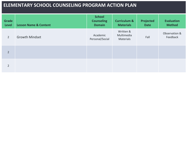| <b>Grade</b><br>Level | <b>Lesson Name &amp; Content</b> | <b>School</b><br><b>Counseling</b><br><b>Domain</b> | <b>Curriculum &amp;</b><br><b>Materials</b> | <b>Projected</b><br><b>Date</b> | <b>Evaluation</b><br><b>Method</b> |
|-----------------------|----------------------------------|-----------------------------------------------------|---------------------------------------------|---------------------------------|------------------------------------|
| $2^{\circ}$           | <b>Growth Mindset</b>            | Academic<br>Personal/Social                         | Written &<br>Multimedia<br>Materials        | Fall                            | Observation &<br>Feedback          |
| $\overline{2}$        |                                  |                                                     |                                             |                                 |                                    |
| $\overline{2}$        |                                  |                                                     |                                             |                                 |                                    |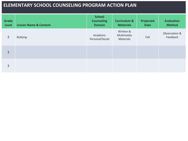| Grade<br><b>Level</b> | <b>Lesson Name &amp; Content</b> | <b>School</b><br><b>Counseling</b><br><b>Domain</b> | <b>Curriculum &amp;</b><br><b>Materials</b> | <b>Projected</b><br><b>Date</b> | <b>Evaluation</b><br><b>Method</b> |
|-----------------------|----------------------------------|-----------------------------------------------------|---------------------------------------------|---------------------------------|------------------------------------|
| $\overline{3}$        | <b>Bullying</b>                  | Academic<br>Personal/Social                         | Written &<br>Multimedia<br>Materials        | Fall                            | Observation &<br>Feedback          |
| $\overline{3}$        |                                  |                                                     |                                             |                                 |                                    |
| $\overline{3}$        |                                  |                                                     |                                             |                                 |                                    |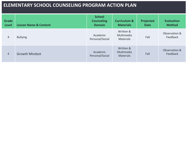| <b>Grade</b><br><b>Level</b> | <b>Lesson Name &amp; Content</b> | <b>School</b><br><b>Counseling</b><br><b>Domain</b> | <b>Curriculum &amp;</b><br><b>Materials</b> | <b>Projected</b><br><b>Date</b> | <b>Evaluation</b><br><b>Method</b> |
|------------------------------|----------------------------------|-----------------------------------------------------|---------------------------------------------|---------------------------------|------------------------------------|
| $\overline{4}$               | <b>Bullying</b>                  | Academic<br>Personal/Social                         | Written &<br>Multimedia<br><b>Materials</b> | Fall                            | Observation &<br>Feedback          |
| $\overline{4}$               | <b>Growth Mindset</b>            | Academic<br>Personal/Social                         | Written &<br>Multimedia<br><b>Materials</b> | Fall                            | Observation &<br>Feedback          |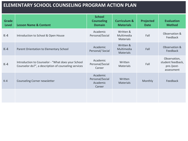| <b>Grade</b><br><b>Level</b> | <b>Lesson Name &amp; Content</b>                                                                           | <b>School</b><br><b>Counseling</b><br><b>Domain</b> | <b>Curriculum &amp;</b><br><b>Materials</b> | Projected<br><b>Date</b> | <b>Evaluation</b><br><b>Method</b>                            |
|------------------------------|------------------------------------------------------------------------------------------------------------|-----------------------------------------------------|---------------------------------------------|--------------------------|---------------------------------------------------------------|
| $K-4$                        | Introduction to School & Open House                                                                        | Academic<br>Personal/Social                         | Written &<br>Multimedia<br><b>Materials</b> | Fall                     | Observation &<br>Feedback                                     |
| $K-4$                        | Parent Orientation to Elementary School                                                                    | Academic<br>Personal/Social                         | Written &<br>Multimedia<br><b>Materials</b> | Fall                     | Observation &<br>Feedback                                     |
| $K-4$                        | Introduction to Counselor - "What does your School<br>Counselor do?", a description of counseling services | Academic<br>Personal/Social<br>Career               | Written<br><b>Materials</b>                 | Fall                     | Observation,<br>student feedback,<br>pre-/post-<br>assessment |
| $K-4$                        | Counseling Corner newsletter                                                                               | Academic<br>Personal/Social<br>Academic<br>Career   | Written<br><b>Materials</b>                 | Monthly                  | Feedback                                                      |
|                              |                                                                                                            |                                                     |                                             |                          |                                                               |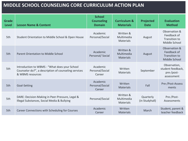| <b>Grade</b><br><b>Level</b> | <b>Lesson Name &amp; Content</b>                                                                                          | <b>School</b><br><b>Counseling</b><br><b>Domain</b> | <b>Curriculum &amp;</b><br><b>Materials</b> | Projected<br><b>Date</b>    | <b>Evaluation</b><br><b>Method</b>                             |
|------------------------------|---------------------------------------------------------------------------------------------------------------------------|-----------------------------------------------------|---------------------------------------------|-----------------------------|----------------------------------------------------------------|
| 5th                          | Student Orientation to Middle School & Open House                                                                         | Academic<br>Personal/Social                         | Written &<br>Multimedia<br><b>Materials</b> | August                      | Observation &<br>Feedback of<br>Transition to<br>Middle School |
| 5th                          | Parent Orientation to Middle School                                                                                       | Academic<br>Personal/Social                         | Written &<br>Multimedia<br><b>Materials</b> | August                      | Observation &<br>Feedback of<br>Transition to<br>Middle School |
| 5th                          | Introduction to WBMS - "What does your School<br>Counselor do?", a description of counseling services<br>& WBMS resources | Academic<br>Personal/Social<br>Career               | Written<br><b>Materials</b>                 | September                   | Observation,<br>student feedback,<br>pre-/post-<br>assessment  |
| 5th                          | Goal-Setting                                                                                                              | Academic<br>Personal/Social<br>Career               | Written<br><b>Materials</b>                 | Fall                        | Pre-/Post-Assess<br>ments                                      |
| 5th                          | DARE: Decision-Making in Peer-Pressure, Legal &<br>Illegal Substances, Social Media & Bullying                            | Personal/Social                                     | Written &<br>Multimedia<br><b>Materials</b> | Quarterly<br>(in Studyhall) | Pre-/Post-<br>Assessments                                      |
| 5th                          | Career Connections with Scheduling for Courses                                                                            | Academic<br>Career                                  | Written<br><b>Materials</b>                 | March                       | Student, parent &<br>teacher feedback                          |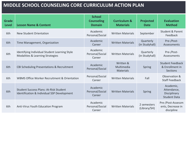| <b>Grade</b><br><b>Level</b> | <b>Lesson Name &amp; Content</b>                                                             | <b>School</b><br><b>Counseling</b><br><b>Domain</b> | <b>Curriculum &amp;</b><br><b>Materials</b> | Projected<br><b>Date</b>    | <b>Evaluation</b><br><b>Method</b>                              |
|------------------------------|----------------------------------------------------------------------------------------------|-----------------------------------------------------|---------------------------------------------|-----------------------------|-----------------------------------------------------------------|
| 6th                          | New Student Orientation                                                                      | Academic<br>Personal/Social                         | <b>Written Materials</b>                    | September                   | <b>Student &amp; Parent</b><br>Feedback                         |
| 6th                          | Time Management, Organization                                                                | Academic<br>Career                                  | <b>Written Materials</b>                    | Quarterly<br>(in Studyhall) | Pre-/Post-<br>Assessments                                       |
| 6th                          | Identifying Individual Student Learning Style<br>Modalities & Learning Strategies            | Academic<br>Personal/Social<br>Career               | <b>Written Materials</b>                    | Quarterly<br>(in Studyhall) | Pre-/Post-<br>Assessments                                       |
| 6th                          | CBI Scheduling Presentations & Recruitment                                                   | Academic<br>Personal/Social                         | Written &<br>Multimedia<br><b>Materials</b> | Spring                      | <b>Student Feedback</b><br>& Enrollment in<br><b>Sections</b>   |
| 6th                          | <b>WBMS Office Worker Recruitment &amp; Orientation</b>                                      | Personal/Social<br>Career                           | <b>Written Materials</b>                    | Fall                        | Observation &<br><b>Staff Feedback</b>                          |
| 6th                          | <b>Student Success Plans: At-Risk Student</b><br>Identification & Individual SSP Development | Academic<br>Personal/Social<br>Career               | <b>Written Materials</b>                    | Spring                      | Academic,<br>Attendance,<br>Disciplinary<br><b>Student Data</b> |
| 6th                          | Anti-Virus Youth Education Program                                                           | Academic<br>Personal/Social<br>Career               | <b>Written Materials</b>                    | 2 semesters<br>(Library/SH) | Pre-/Post-Assessm<br>ents, Decrease in<br>discipline            |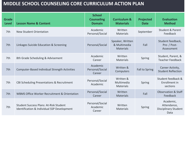| <b>Grade</b><br><b>Level</b> | <b>Lesson Name &amp; Content</b>                                                             | <b>School</b><br><b>Counseling</b><br><b>Domain</b> | <b>Curriculum &amp;</b><br><b>Materials</b>          | <b>Projected</b><br><b>Date</b> | <b>Evaluation</b><br><b>Method</b>                              |
|------------------------------|----------------------------------------------------------------------------------------------|-----------------------------------------------------|------------------------------------------------------|---------------------------------|-----------------------------------------------------------------|
| 7th                          | New Student Orientation                                                                      | Academic<br>Personal/Social                         | Written<br><b>Materials</b>                          | September                       | Student & Parent<br>Feedback                                    |
| 7th                          | Linkages Suicide Education & Screening                                                       | Personal/Social                                     | Speaker, Written<br>& Multimedia<br><b>Materials</b> | Fall                            | Student feedback,<br>Pre- / Post-<br>Assessment                 |
| 7th                          | 8th Grade Scheduling & Advisement                                                            | Academic<br>Career                                  | Written<br><b>Materials</b>                          | Spring                          | Student, Parent, &<br><b>Teacher Feedback</b>                   |
| 7th                          | <b>Computer-Based Individual Strength Activities</b>                                         | Academic<br>Personal/Social<br>Career               | Written &<br>Computers                               | Fall to Spring                  | Career Activity,<br><b>Student Reflection</b>                   |
| 7th                          | <b>CBI Scheduling Presentations &amp; Recruitment</b>                                        | Personal/Social<br>Academic                         | Written &<br>Multimedia<br><b>Materials</b>          | Spring                          | Student feedback &<br>Enrollment in<br>sections                 |
| 7th                          | WBMS Office Worker Recruitment & Orientation                                                 | Personal/Social<br>Career                           | Written<br><b>Materials</b>                          | Fall                            | <b>Observation &amp; Staff</b><br>Feedback                      |
| 7th                          | <b>Student Success Plans: At-Risk Student</b><br>Identification & Individual SSP Development | Personal/Social<br>Academic<br>Career               | Written<br><b>Materials</b>                          | Spring                          | Academic,<br>Attendance,<br><b>Disciplinary Student</b><br>Data |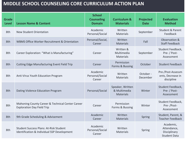| <b>Grade</b><br><b>Level</b> | <b>Lesson Name &amp; Content</b>                                                             | <b>School</b><br><b>Counseling</b><br><b>Domain</b> | <b>Curriculum &amp;</b><br><b>Materials</b>          | Projected<br><b>Date</b> | <b>Evaluation</b><br><b>Method</b>                              |
|------------------------------|----------------------------------------------------------------------------------------------|-----------------------------------------------------|------------------------------------------------------|--------------------------|-----------------------------------------------------------------|
| 8th                          | <b>New Student Orientation</b>                                                               | Academic<br>Personal/Social                         | Written<br>Materials                                 | September                | <b>Student &amp; Parent</b><br>Feedback                         |
| 8th                          | <b>WBMS Office Worker Recruitment &amp; Orientation</b>                                      | Personal/Social,<br>Career                          | Written<br>Materials                                 | Fall                     | Observation &<br><b>Staff Feedback</b>                          |
| 8th                          | Career Exploration: "What is Manufacturing"                                                  | Career                                              | Written &<br>Multimedia<br>Materials                 | September                | Student Feedback,<br>Pre- / Post-<br>Assessment                 |
| 8th                          | <b>Cutting Edge Manufacturing Event Field Trip</b>                                           | Career                                              | Permission<br>Forms & Bussing                        | October                  | <b>Student Feedback</b>                                         |
| 8th                          | Anti-Virus Youth Education Program                                                           | Academic<br>Personal/Social<br>Career               | Written<br>Materials                                 | October -<br>December    | Pre-/Post-Assessm<br>ents, Decrease in<br>discipline            |
| 8th                          | Dating Violence Education Program                                                            | Personal/Social                                     | Speaker, Written<br>& Multimedia<br><b>Materials</b> | Winter                   | Student Feedback,<br>Pre- / Post-<br>Assessment                 |
| 8th                          | Mahoning County Career & Technical Center Career<br><b>Exploration Day Field Trip</b>        | Career                                              | Permission<br>Forms & Bussing                        | Winter                   | Student Feedback,<br>Pre-/Post-<br>Assessment                   |
| 8th                          | 9th Grade Scheduling & Advisement                                                            | Academic<br>Career                                  | Written<br><b>Materials</b>                          | Spring                   | Student, Parent, &<br><b>Teacher Feedback</b>                   |
| 8th                          | <b>Student Success Plans: At-Risk Student</b><br>Identification & Individual SSP Development | Academic<br>Personal/Social<br>Career               | Written<br>Materials                                 | Spring                   | Academic,<br>Attendance,<br>Disciplinary<br><b>Student Data</b> |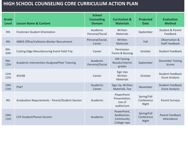| <b>Grade</b><br><b>Level</b> | <b>Lesson Name &amp; Content</b>                        | <b>School</b><br><b>Counseling</b><br><b>Domain</b> | <b>Curriculum &amp;</b><br><b>Materials</b>             | Projected<br><b>Date</b>           | <b>Evaluation</b><br><b>Method</b>               |
|------------------------------|---------------------------------------------------------|-----------------------------------------------------|---------------------------------------------------------|------------------------------------|--------------------------------------------------|
| 9th                          | <b>Freshmen Student Orientation</b>                     | Academic<br>Personal/Social                         | Written<br>Materials                                    | September                          | <b>Student &amp; Parent</b><br>Feedback          |
| 9th                          | WBHS Office/Cafeteria Worker Recruitment                | Personal/Social,<br>Career                          | Written<br><b>Materials</b>                             | Fall                               | Observation &<br><b>Staff Feedback</b>           |
| 9th-<br>10th                 | <b>Cutting Edge Manufacturing Event Field Trip</b>      | Career                                              | Permission<br>Forms & Bussing                           | October                            | <b>Student Feedback</b>                          |
| 9th-<br>12th                 | Academic Intervention Assigned/Peer Tutoring            | Academic<br>Personal/Social                         | <b>AIR Testing</b><br>Results/interim<br>grades         | September                          | <b>December Testing</b><br><b>Scores</b>         |
| 11th<br>12th                 | <b>ASVAB</b>                                            | Career                                              | Sign Ups<br>Written<br>Materials                        | October                            | <b>Student Feedback</b><br><b>Score Analysis</b> |
| 10th<br>11th                 | <b>PSAT</b>                                             | Academic<br>Career                                  | Sign Up, Written<br>Materials, Fee                      | November                           | <b>Student Feedback</b><br><b>Score Analysis</b> |
| 9th                          | <b>Graduation Requirements - Parent/Student Session</b> | Academic                                            | PowerPoint<br>Presentation,<br>Use of<br>auditorium     | Spring/Fall<br>Conference<br>Night | <b>Parent Surveys</b>                            |
| 10th<br>11th                 | <b>CCP Student/Parent Session</b>                       | Academic                                            | PowerPoint,<br>Auditorium,<br>Community<br>College reps | Spring/Fall<br>Conference<br>Night | Parent Feedback<br>Attendance                    |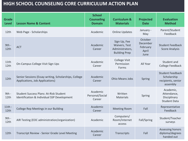| <b>Grade</b><br><b>Level</b> | <b>Lesson Name &amp; Content</b>                                                             | <b>School</b><br><b>Counseling</b><br><b>Domain</b> | <b>Curriculum &amp;</b><br><b>Materials</b>                              | Projected<br><b>Date</b>                         | <b>Evaluation</b><br><b>Method</b>                                       |
|------------------------------|----------------------------------------------------------------------------------------------|-----------------------------------------------------|--------------------------------------------------------------------------|--------------------------------------------------|--------------------------------------------------------------------------|
| 12th                         | Web Page - Scholarships                                                                      | Academic                                            | <b>Online Updates</b>                                                    | January -<br>May                                 | Parent/Student<br>Feedback                                               |
| $9th -$<br>12th              | <b>ACT</b>                                                                                   | Academic<br>Career                                  | Sign Up, Fee<br>Waivers, Test<br>Administrators,<br><b>Building Prep</b> | October<br>December<br>February<br>April<br>June | <b>Student Feedback</b><br><b>Score Analysis</b>                         |
| 11th<br>12th                 | On-Campus College Visit Sign Ups                                                             | Academic<br>Career                                  | <b>College Visit</b><br>Permission<br>Forms                              | All Year                                         | Student and<br>College Feedback                                          |
| 12th                         | Senior Sessions (Essay writing, Scholarships, College<br>Applications, Job Applications)     | Academic<br>Career                                  | <b>Ohio Means Jobs</b>                                                   | Spring                                           | <b>Student Feedback</b><br>Scholarship<br>recipients, senior<br>assembly |
| $9th -$<br>12th              | <b>Student Success Plans: At-Risk Student</b><br>Identification & Individual SSP Development | Academic<br>Personal/Social<br>Career               | Written<br><b>Materials</b>                                              | Spring                                           | Academic,<br>Attendance,<br>Disciplinary<br><b>Student Data</b>          |
| $11th -$<br>12th             | College Rep Meetings in our Building                                                         | Academic<br>Career                                  | <b>Meeting Room</b>                                                      | Fall                                             | Representative<br>Feedback                                               |
| $9th -$<br>12th              | AIR Testing (EOC administration/organization)                                                | Academic                                            | Computers/<br>Room/internet<br>access                                    | Fall/Spring                                      | Student/Teacher<br>surveys                                               |
| 12th                         | Transcript Review - Senior Grade Level Meeting                                               | Academic<br>Career                                  | Transcripts                                                              | Fall                                             | Assessing honors<br>diploma/degrees<br>handed out                        |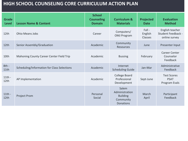| <b>Grade</b><br><b>Level</b> | <b>Lesson Name &amp; Content</b>            | <b>School</b><br><b>Counseling</b><br><b>Domain</b> | <b>Curriculum &amp;</b><br><b>Materials</b>                                 | <b>Projected</b><br><b>Date</b> | <b>Evaluation</b><br><b>Method</b>                     |
|------------------------------|---------------------------------------------|-----------------------------------------------------|-----------------------------------------------------------------------------|---------------------------------|--------------------------------------------------------|
| 12th                         | <b>Ohio Means Jobs</b>                      | Career                                              | Computers/<br><b>OMJ Program</b>                                            | $Fall -$<br>English<br>Classes  | English teacher<br>Student Feedback -<br>online survey |
| 12 <sub>th</sub>             | Senior Assembly/Graduation                  | Academic                                            | Community<br>Resources                                                      | June                            | Presenter Input                                        |
| 10th                         | Mahoning County Career Center Field Trip    | Academic                                            | <b>Bussing</b>                                                              | February                        | <b>Career Center</b><br>Counselor<br>Feedback          |
| $8th -$<br>11th              | Scheduling/Information for Class Selections | Academic                                            | Internet<br><b>Scheduling Guide</b>                                         | Jan-Mar                         | Administrative<br>Feedback                             |
| $11th -$<br>12th             | AP Implementation                           | Academic                                            | College Board<br>Professional<br>Development                                | Sept-June                       | <b>Test Scores</b><br><b>PSAT</b><br>Program Evals     |
| $11th -$<br>12th             | <b>Project Prom</b>                         | Personal<br>Social                                  | Salem<br>Administration<br><b>Building</b><br>Community<br><b>Donations</b> | March<br>April                  | Participant<br>Feedback                                |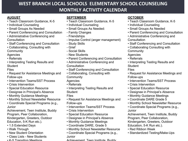#### **AUGUST**

- Teach Classroom Guidance, K-5
- Individual Counseling
- Small Groups As Needed
- Parent Conferencing and Consultation
- Administrative Conferencing and **Consultation**
- Staff Conferencing and Consultation
- Collaborating, Consulting with **Community**

Agencies

- Referrals
- Interpreting Testing Results and **Student**

#### Files

- Request for Assistance Meetings and Follow-ups
- Intervention Teams/SST Process
- Crisis Intervention
- Special Education Resource
- Designee in Principal's Absence
- Monthly Guidance Meetings
- Monthly School Newsletter Resource
- Coordinate Special Programs (e.g., Junior

Achievement, Teen Institute, Buddy Program, Peer Collaboration, Kindergarten, Greeters, Outdoor

- Education, 5-K Run etc.).
- 1.5 Extended Days
- Walk Through
- New Student Orientation
- Class Lists New Students
- K-5 Transition Meetings

#### **SEPTEMBER**

- Teach Classroom Guidance, K-5
- Individual Counseling
- Small Groups As Needed:
- Family Changes
- Friendships
- Impulse Control (anger management)
- Study Skills
- Grief
- Social Skills
- New Students
- Parent Conferencing and Consultation
- Administrative Conferencing and **Consultation**
- Staff Conferencing and Consultation
- Collaborating, Consulting with **Community**
- Agencies
- Referrals
- Interpreting Testing Results and **Student**

Files

- Request for Assistance Meetings and Follow-ups
- Intervention Teams/SST Process
- Crisis Intervention
- Special Education Resource
- Designee in Principal's Absence
- Monthly Guidance Meetings
- Coordinate DARE, Grade 5
- Monthly School Newsletter Resource
- Coordinate Special Programs (e.g., Junior

Achievement, Teen Institute, Buddy

#### **OCTOBER**

- Teach Classroom Guidance, K-5
- Individual Counseling
- Small Groups As Needed
- Parent Conferencing and Consultation
- Administrative Conferencing and **Consultation**
- Staff Conferencing and Consultation
- Collaborating Consulting with **Community**
- Agencies
- Referrals
- Interpreting Testing Results and **Student**

#### Files

- Request for Assistance Meetings and Follow-ups
- Intervention Teams/SST Process
- Crisis Intervention
- Special Education Resource
- Designee in Principal's Absence
- Monthly Guidance Meetings
- Coordinate DARE Grade 5
- Monthly School Newsletter Resource
- Coordinate Special Programs (e.g., Junior

Achievement, Teen Institute, Buddy Program, Peer Collaboration, Kindergarten, Greeters, Outdoor

- Education, 5-K Run etc.).
- Red Ribbon Week
- Standardized Testing/Make-Ups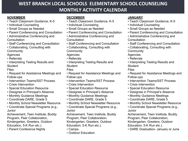#### **NOVEMBER**

- Teach Classroom Guidance, K-5
- Individual Counseling
- Small Groups as Needed
- Parent Conferencing and Consultation
- Administrative Conferencing and **Consultation**
- Staff Conferencing and Consultation
- Collaborating, Consulting with **Community**

Agencies

- Referrals
- Interpreting Testing Results and **Student**

Files

- Request for Assistance Meetings and Follow-ups
- Intervention Teams/SST Process
- Crisis Intervention
- Special Education Resource
- Designee in Principal's Absence
- Monthly Guidance Meetings
- Coordinate DARE, Grade 5
- Monthly School Newsletter Resource
- Coordinate Special Programs (e.g., **Junior**

Achievement, Teen Institute, Buddy Program, Peer Collaboration, Kindergarten, Greeters, Outdoor Education, 5-K Run etc.).

• Parent Conference Nights

#### **DECEMBER**

- Teach Classroom Guidance, K-5
- Individual Counseling
- Small Groups as Needed
- Parent Conferencing and Consultation
- Administrative Conferencing and **Consultation**
- Staff Conferencing and Consultation
- Collaborating, Consulting with **Community**

Agencies

- Referrals
- Interpreting Testing Results and **Student**

Files

- Request for Assistance Meetings and Follow-ups
- Intervention Teams/SST Process
- Crisis Intervention
- Special Education Resource
- Designee in Principal's Absence
- Monthly Guidance Meetings
- Coordinate DARE, Grade 5
- Monthly School Newsletter Resource
- Coordinate Special Programs (e.g., Junior

Achievement, Teen Institute, Buddy Program, Peer Collaboration, Kindergarten, Greeters, Outdoor Education, 5-K Run etc.).

- Camps
- Outdoor Education

#### **JANUARY**

- Teach Classroom Guidance, K-5
- Individual Counseling
- Small Groups as Needed
- Parent Conferencing and Consultation
- Administrative Conferencing and **Consultation**
- Staff Conferencing and Consultation
- Collaborating, Consulting with **Community**
- Agencies
- Referrals
- Interpreting Testing Results and **Student**

#### Files

- Request for Assistance Meetings and Follow-ups
- Intervention Teams/SST Process
- Crisis Intervention
- Special Education Resource
- Designee in Principal's Absence
- Monthly Guidance Meetings
- Coordinate DARE, Grade 5
- Monthly School Newsletter Resource
- Coordinate Special Programs (e.g., Junior

Achievement, Teen Institute, Buddy Program, Peer Collaboration,

Kindergarten, Greeters, Outdoor

Education, 5-K Run etc.).

• DARE Graduation- January or June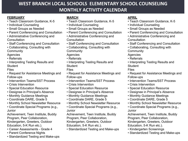#### **FEBRUARY**

- Teach Classroom Guidance, K-5
- Individual Counseling
- Small Groups as Needed
- Parent Conferencing and Consultation
- Administrative Conferencing and **Consultation**
- Staff Conferencing and Consultation
- Collaborating, Consulting with **Community**

Agencies

- Referrals
- Interpreting Testing Results and **Student**

Files

- Request for Assistance Meetings and Follow-ups
- Intervention Teams/SST Process
- Crisis Intervention
- Special Education Resource
- Designee in Principal's Absence
- Monthly Guidance Meetings
- Coordinate DARE, Grade 5
- Monthly School Newsletter Resource
- Coordinate Special Programs (e.g., **Junior**

Achievement, Teen Institute, Buddy Program, Peer Collaboration, Kindergarten, Greeters, Outdoor Education, 5-K Run etc.).

- Career Assessments Grade 4
- Parent Conference Nights
- Standardized Testing and Make-ups

#### **MARCH**

- Teach Classroom Guidance, K-5
- Individual Counseling
- Small Groups as Needed
- Parent Conferencing and Consultation
- Administrative Conferencing and **Consultation**
- Staff Conferencing and Consultation
- Collaborating, Consulting with **Community**

Agencies

- Referrals
- Interpreting Testing Results and **Student**

Files

- Request for Assistance Meetings and Follow-ups
- Intervention Teams/SST Process
- Crisis Intervention
- Special Education Resource
- Designee in Principal's Absence
- Monthly Guidance Meetings
- Coordinate DARE, Grade 5
- Monthly School Newsletter Resource
- Coordinate Special Programs (e.g., Junior

Achievement, Teen Institute, Buddy Program, Peer Collaboration, Kindergarten, Greeters, Outdoor Education, 5-K Run etc.).

• Standardized Testing and Make-ups

#### **APRIL**

- Teach Classroom Guidance, K-5
- Individual Counseling
- Small Groups as Needed
- Parent Conferencing and Consultation
- Administrative Conferencing and **Consultation**
- Staff Conferencing and Consultation
- Collaborating, Consulting with **Community**
- Agencies
- Referrals
- Interpreting Testing Results and **Student**

#### Files

- Request for Assistance Meetings and Follow-ups
- Intervention Teams/SST Process
- Crisis Intervention
- Special Education Resource
- Designee in Principal's Absence
- Monthly Guidance Meetings
- Coordinate DARE, Grade 5
- Monthly School Newsletter Resource
- Coordinate Special Programs (e.g., Junior

Achievement, Teen Institute, Buddy Program, Peer Collaboration, Kindergarten, Greeters, Outdoor Education, 5-K Run etc.).

- Kindergarten Screenings
- Standardized Testing and Make-ups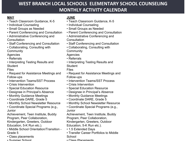#### **MAY**

- Teach Classroom Guidance, K-5
- Individual Counseling
- Small Groups as Needed
- Parent Conferencing and Consultation
- Administrative Conferencing and **Consultation**
- Staff Conferencing and Consultation
- Collaborating, Consulting with **Community**

Agencies

- Referrals
- Interpreting Testing Results and **Student**

Files

- Request for Assistance Meetings and Follow-ups
- Intervention Teams/SST Process
- Crisis Intervention
- Special Education Resource
- Designee in Principal's Absence
- Monthly Guidance Meetings
- Coordinate DARE, Grade 5
- Monthly School Newsletter Resource
- Coordinate Special Programs (e.g., **Junior**

Achievement, Teen Institute, Buddy Program, Peer Collaboration, Kindergarten, Greeters, Outdoor Education, 5-K Run etc.).

- Middle School Orientation/Transition Grade 5
- Class placements
- Summer School

#### **JUNE**

- Teach Classroom Guidance, K-5
- Individual Counseling
- Small Groups as Needed
- Parent Conferencing and Consultation
- Administrative Conferencing and **Consultation**
- Staff Conferencing and Consultation
- Collaborating, Consulting with **Community**
- Agencies
- Referrals
- Interpreting Testing Results and **Student**
- Files
- Request for Assistance Meetings and Follow-ups
- Intervention Teams/SST Process
- Crisis Intervention
- Special Education Resource
- Designee in Principal's Absence
- Monthly Guidance Meetings
- Coordinate DARE, Grade 5
- Monthly School Newsletter Resource
- Coordinate Special Programs (e.g., Junior

Achievement, Teen Institute, Buddy Program, Peer Collaboration,

Kindergarten, Greeters, Outdoor

- Education, 5-K Run etc.).
- 1.5 Extended Days
- Transfer Career Portfolios to Middle **School**
- Class Placements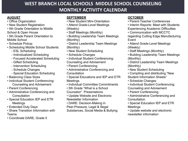#### **AUGUST**

- Office Organization
- New Student Registration
- 5th Grade Orientation to Middle School & Open House
- 5th Grade Parent Orientation to Middle School
- Schedule Pickup
- Scheduling Middle School Students:
	- ESL Scheduling
	- Individualized Scheduling
	- Focused Accelerated Scheduling
	- Gifted Scheduling
	- Intervention Scheduling
	- Schedule Changes
	- Special Education Scheduling
- Balancing Class Sizes
- Individual Student Conferencing: Counseling and Advisement
- Parent Conferencing
- Administrative Conferencing and **Consultation**
- Special Education IEP and ETR Meetings
- Extended Duty Days
- Share Transition Information with Teams
- Coordinate DARE, Grade 5

#### **SEPTEMBER**

- New Student Mini-Orientation
- Attend Grade-Level Meetings (Weekly)
- Staff Meetings (Monthly)
- Building Leadership Team Meetings (Monthly)
- District Leadership Team Meetings (Monthly)
- New Student Scheduling
- Schedule Changes
- Individual Student Conferencing: Counseling and Advisement
- Parent Conferencing
- Administrative Conferencing and **Consultation**
- Special Educations and IEP and ETR Meetings
- Individual Committee Commitments
- 5th Grade "What is a School Counselor" Presentations
- Update Website and Electronic Newsletter Information
- DARE: Decision-Making in
- Peer-Pressure, Legal & Illegal
- Substances, Social Media & Bullying

#### **OCTOBER**

- Parent-Teacher Conferences
- Interim Reports: Meet with Students Experiencing Academic Difficulties
- Communication with MCCTC regarding Cutting Edge Manufacturing Event
- Attend Grade-Level Meetings (Weekly)
- Staff Meetings (Monthly)
- Building Leadership Team Meetings (Monthly)
- District Leadership Team Meetings (Monthly)
- New Student Scheduling
- Compiling and distributing "New Student Information Sheets"
- Schedule Changes
- Individual Student Conferencing: Counseling and Advisement
- Parent Conferencing
- Administrative Conferencing and **Consultation**
- Special Education IEP and ETR Meetings
- Update website and electronic newsletter information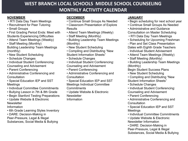#### **NOVEMBER**

- RTI Data Day Team Meetings
- Recruitment for Peer Tutoring
- Small Groups

• First Grading Period Ends: Meet with Students Experiencing Difficulties

• Attend Team Meetings (Weekly)

• Staff Meeting (Monthly) Building Leadership Team Meetings (monthly)

- New Student Scheduling
- Schedule Changes
- Individual Student Conferencing: Counseling and Advisement
- Parent Conferencing
- Administrative Conferencing and **Consultation**
- Special Education IEP and SST Meetings
- Individual Committee Commitments
- Bullying Lesson in 7th & 8th Grade
- Begin Stanford Testing Preparations
- Update Website & Electronic **Newsletter**

Information

- 6th Grade Learning Styles Inventory
- DARE: Decision-Making in

Peer-Pressure, Legal & Illegal

Substances, Social Media & Bullying

#### **DECEMBER**

- Continue Small Groups As Needed
- Classroom Presentation of Explore **Results**
- Attend Team Meetings (Weekly)
- Staff Meeting (Monthly)
- Building Leadership Team Meetings (Monthly)
- New Student Scheduling
- Compiling and Distributing "New Student Information Sheets"
- Schedule Changes
- Individual Student Conferencing: Counseling and Advisement
- Parent Conferencing
- Administrative Conferencing and **Consultation**
- Special Education IEP and SST Meetings Individual Committee **Commitments**
- Update Website & Electronic **Newsletter** Information

#### **JANUARY**

- Begin scheduling for next school year
- Continue Small Groups As Needed
- Administrative and Guidance

Consultation on Master Scheduling

- RTI Data Day Team Meetings
- Scheduling for Upcoming Freshman
- Plan and Set Class Presentation Dates with Eighth Grade Teachers
- Individual Student Advisement
- Attend Team Meetings (Weekly)
- Staff Meeting (Monthly)
- Building Leadership Team Meetings (Monthly)

Begin Student Success Plans

- New Student Scheduling
- Compiling and Distributing "New Student Information Sheets"
- Schedule Changes
- Individual Student Conferencing: Counseling and Advisement
- Parent Conferencing
- Administrative Conferencing and **Consultation**
- Special Education IEP and SST Meetings
- Individual Committee Commitments
- Update Website & Electronic Newsletter Information
- DARE: Decision-Making in Peer-Pressure, Legal & Illegal Substances, Social Media & Bullying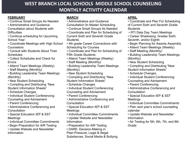#### **FEBRUARY**

- Continue Small Groups As Needed
- Administrative and Guidance Consultation about Students with **Difficulties**
- Continue scheduling for Upcoming School Year
- Coordinate Meetings with High School Counselors
- Consult with Students About Their **Schedules**
- Collect Schedules and Check for Errors
- Attend Team Meetings (Weekly)
- Staff Meeting (Monthly)
- Building Leadership Team Meetings (Monthly)
- New Student Scheduling
- Compiling and Distributing "New Student Information Sheets"
- Schedule Changes
- Individual Student Conferencing: Counseling and Advisement
- Parent Conferencing
- Administrative Conferencing and **Consultation**
- Special Education IEP & SST Meetings
- Individual Committee Commitments
- Begin Preparation for AIR Testing
- Update Website and Newsletter Information

#### **MARCH**

- Administrative and Guidance Consultation 0n Master Scheduling
- Continue Small Groups As Needed
- Coordinate and Plan for Scheduling of Current Sixth and Seventh Grade **Students**
- 4th grade Career Connections with Scheduling for Courses
- Coordinate and Plan for Scheduling of Fifth Grade Students
- Attend Team Meetings (Weekly)
- Staff Meeting (Monthly)
- Building Leadership Team Meetings (Monthly)
- New Student Scheduling
- Compiling and Distributing "New Student Information Sheets"
- Schedule Changes
- Individual Student Conferencing: Counseling and Advisement
- Parent Conferencing
- Administrative Conferencing and **Consultation**
- Special Education IEP & SST Meetings
- Individual Committee Commitments
- Update Website and Newsletter Information
- Preparation for AIR Testing
- DARE: Decision-Making in Peer-Pressure, Legal & Illegal Substances, Social Media & Bullying

#### **APRIL**

- Coordinate and Plan For Scheduling of Current Sixth and Seventh Grade **Students**
- RTI Data Day Team Meetings
- Career Shadowing: Grades Sixth, Seventh, and/or Eighth
- Begin Planning for Awards Assembly
- Attend Team Meetings (Weekly)
- Staff Meeting (Monthly)
- Building Leadership Team Meetings (Monthly)
- New Student Scheduling
- Compiling and Distributing "New Student Information Sheets"
- Schedule Changes
- Individual Student Conferencing: Counseling and Advisement
- Parent Conferencing
- Administrative Conferencing and **Consultation**
- Special Education IEP & SST Meetings
- Individual Committee Commitments
- Plan next year's school counseling calendar
- Update Website and Newsletter Information
- Air Testing for 5th, 6th, 7th, and 8th Grade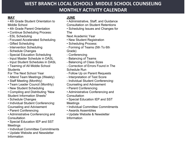#### **MAY**

- 4th Grade Student Orientation to Middle School
- 4th Grade Parent Orientation
- Continue Scheduling Process:
- ESL Scheduling
- Focused Accelerated Scheduling
- Gifted Scheduling
- Intervention Scheduling
- Schedule Changes
- Special Education Scheduling
- Input Master Schedule in DASL
- Input Student Schedules in DASL
- Teaming of All Middle School **Students**

For The Next School Year

- Attend Team Meetings (Weekly)
- Staff Meeting (Monthly)
- Team Leader Council (Monthly)
- New Student Scheduling
- Compiling and Distributing "New Student Information Sheets"
- Schedule Changes
- Individual Student Conferencing: Counseling and Advisement
- Parent Conferencing
- Administrative Conferencing and **Consultation**
- Special Education IEP and SST **Meetings**
- Individual Committee Commitments
- Update Website and Newsletter Information

#### **JUNE**

- Administrative, Staff, and Guidance Consultation on Student Retentions
- Scheduling Issues and Changes for

The

Next Academic Year

- New Student Registration
- Scheduling Process:
- Forming of Teams (5th To 6th
- Grade)
- Conferencing
- Balancing of Teams
- Balancing of Class Sizes
- Correction of Errors Found in The Schedule Run
- Follow Up on Parent Requests
- Interpretation of Test Score
- Individual Student Conferencing:
- Counseling and Advisement
- Parent Conferencing
- Administrative Conferencing and **Consultation**
- Special Education IEP and SST
- Meetings
- Individual Committee Commitments
- Awards Assemblies
- Update Website & Newsletter Information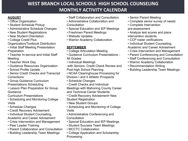#### **AUGUST**

- Office Organization
- Student Schedule Pickup
- Administrative Schedule Changes
- New Student Registrations
- New Student Orientation
- College Credit Plus
- Organization/Textbook Distribution
- Initial Staff Meeting Presentation Preparation
- Teacher In-service and Initial Staff Meeting
- Teacher Work Day
- Guidance Resources Organization
- School Profile Update
- Senior Credit Checks and Transcript **Corrections**
- Group Guidance Curriculum Presentations Scheduling
- Lesson Plan Preparation for Group Guidance

Curriculum Presentations

- Scheduling and Monitoring College Visits
- Schedule Changes
- Credit Recovery Advisement
- Individual Student Counseling,
- Academic and Career Advisement
- Crisis Intervention and Management
- Peer Leader Training
- Parent Collaboration and Consultation
- Building Leadership Team Meetings
- Staff Collaboration and Consultation
- Administrative Collaboration and **Consultation**
- Special Education and IEP Meetings
- Freshmen Parent Meetings
- Website Updates
- Warrior Academy Collaboration

#### **SEPTEMBER**

- College Articulation Meeting
- Guidance Curriculum Presentations All Grades
- Individual Meetings with Seniors: Credit Check Review and Post-high School Planning
- NCAA Clearinghouse Processing for Division I and II Athletic Prospects
- Schedule Changes
- Credit Checks and Individual
- Meetings with Mahoning County Career and Technical Center Students
- Credit Recovery Advisement• New Student Registration
- 
- New Student Groups
- Scheduling and Monitoring of College Visits
- Administrative Conferencing and **Consultation**
- Special Education and IEP Meetings
- Student Success Team Meetings
- MCCTC Collaboration
- College Application and Scholarship Processing
- Senior Parent Meeting
- Complete senior survey of needs
- Complete Intervention pre-assessment
- Analyze test scores and place intervention students
- CCP roster verifications
- Individual Student Counseling,

Academic and Career Advisement

- Crisis Intervention and Management
- Parent Conferencing and Consultation
- Staff Conferencing and Consultation
- Warrior Academy Collaboration
- Recommendation Writing
- Building Leadership Team Meetings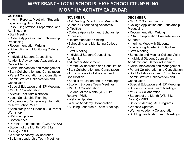#### **OCTOBER**

- Interim Reports: Meet with Students Experiencing Difficulties
- PSAT Registration, Preparation, and Administration
- Staff Meeting
- College Application and Scholarship Processing
- Recommendation Writing
- Scheduling and Monitoring College Visits
- Individual Student Counseling,

Academic Advisement, Academic and Career Planning

- Crisis Intervention and Management
- Staff Collaboration and Consultation
- Parent Collaboration and Consultation
- Administrative Collaboration and **Consultation**
- Special Education and IEP Meetings
- MCCTC Collaboration
- ASVAB Test Administration
- Local Scholarship Planning
- Preparation of Scheduling Information for Next School Year
- Scholarship and Financial Aid Parent Workshop
- Website Updates
- Conferences
- Parents Presentations (CCP, FAFSA)
- Student of the Month (WB, Elks, Rotary) - PBIS
- Warrior Academy Collaboration
- Building Leadership Team Meetings

#### **NOVEMBER**

- 1st Grading Period Ends: Meet with Students Experiencing Academic **Difficulties**
- College Application and Scholarship Processing
- Recommendation Writing
- Scheduling and Monitoring College Visits
- Staff Meeting
- Individual Student Counseling, Academic

and Career Advisement

- Parent Collaboration and Consultation
- Staff Collaboration and Consultation
- Administrative Collaboration and **Consultation**
- Special Education and IEP Meetings
- Student Success Team Meetings
- MCCTC Collaboration
- Student of the Month (WB, Elks, Rotary) - PBIS
- Website Updates
- Warrior Academy Collaboration
- Building Leadership Team Meetings

#### **DECEMBER**

- MCCTC Sophomore Tour
- College Application and Scholarship Processing
- Recommendation Writing
- PSAT Interpretation Presentation for **Students**
- Interims: Meet with Students Experiencing Academic Difficulties
- Staff Meeting
- Schedule and Monitor College Visits
- Individual Student Counseling,
- Academic and Career Advisement
- Crisis Intervention and Management
- Parent Collaboration and Consultation
- Staff Collaboration and Consultation
- Administrative Collaboration and **Consultation**
- Special Education and IEP Meetings
- Student Success Team Meetings
- MCCTC Collaboration
- Student of the Month (WB, Elks, Rotary) - PBIS
- Student Meeting: AP Programs
- Website Updates
- Warrior Academy Collaboration
- Building Leadership Team Meetings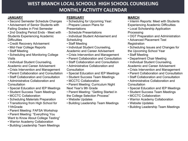#### **JANUARY**

- Second Semester Schedule Changes
- Advisement of Senior Students with Failing Grades in First Semester
- 2nd Grading Period Ends Meet with Students Experiencing Academic **Difficulties**
- Credit Recovery Advisement
- Mid-Year College Reports
- Staff Meeting
- Scheduling and Monitoring College **Visits**
- Individual Student Counseling, Academic and Career Advisement
- Crisis Intervention and Management
- Parent Collaboration and Consultation
- Staff Collaboration and Consultation
- Administrative Collaboration and **Consultation**
- Special Education and IEP Meetings
- Student Success Team Meetings
- MCCTC Collaboration
- Scheduling Materials Preparation
- Transitioning from High School for 11thGrade
- Parent Meeting: FAFSA Workshop
- Parent Meeting: "Everything You
- Want to Know About College Testing"
- Warrior Academy Collaboration
- Building Leadership Team Meetings

#### **FEBRUARY**

- Scheduling for Upcoming Year:
- Prepare Lesson Plans for Presentations
- Schedule Presentations
- Individual Student Advisement and **Scheduling**
- Staff Meeting
- Individual Student Counseling, Academic and Career Advisement
- Crisis Intervention and Management
- Parent Collaboration and Consultation
- Staff Collaboration and Consultation
- Administrative Collaboration and **Consultation**
- Special Education and IEP Meetings
- Student Success Team Meetings
- MCCTC Collaboration
- Parent Meeting: Curriculum Night Next Year's 9th Grade
- Parent Meeting: "Getting Started in the College Selection Process"
- Website Updates
- Building Leadership Team Meetings

#### **MARCH**

- Interim Reports: Meet with Students Experiencing Academic Difficulties
- Local Scholarship Application Processing
- OGT Preparation and Administration
- Advanced Placement Test **Registration**
- Scheduling Issues and Changes for the Upcoming School Year
- Staff Meeting
- Department Chair Meeting
- Individual Student Counseling, Academic and Career Advisement
- Crisis Intervention and Management
- Parent Collaboration and Consultation
- Staff Collaboration and Consultation
- Administrative Collaboration and **Consultation**
- Special Education and IEP Meetings
- Student Success Team Meetings
- MCCTC Collaboration
- Warrior Academy Collaboration
- Website Updates
- Building Leadership Team Meetings